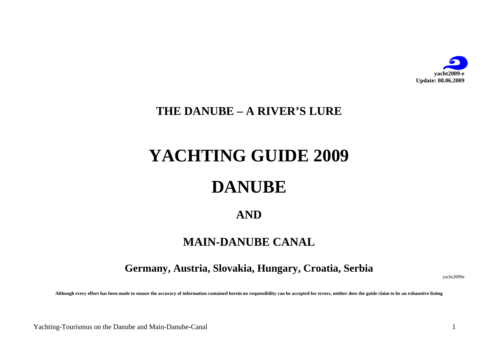

# **THE DANUBE – A RIVER'S LURE**

# **YACHTING GUIDE 2009**

# **DANUBE**

# **AND**

# **MAIN-DANUBE CANAL**

**Germany, Austria, Slovakia, Hungary, Croatia, Serbia** 

yacht2009e

**Although every effort has been made to ensure the accuracy of information contained herein no responsibility can be accepted for errors, neither does the guide claim to be an exhaustive listing**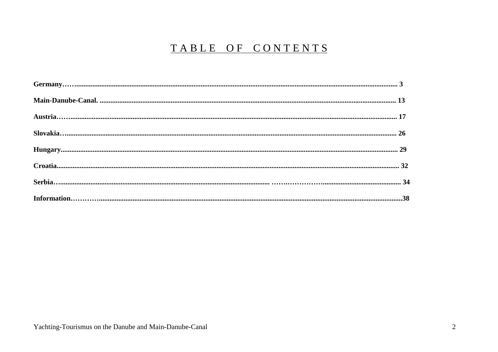# TABLE OF CONTENTS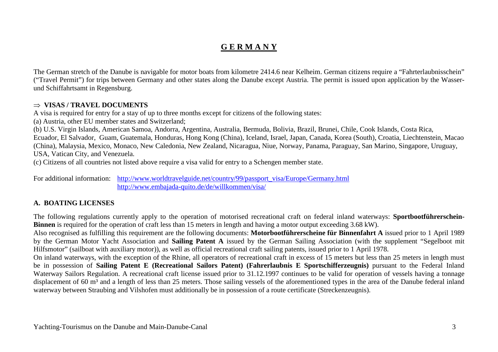# **G E R M A N Y**

The German stretch of the Danube is navigable for motor boats from kilometre 2414.6 near Kelheim. German citizens require a "Fahrterlaubnisschein" ("Travel Permit") for trips between Germany and other states along the Danube except Austria. The permit is issued upon application by the Wasserund Schiffahrtsamt in Regensburg.

#### ⇒ **VISAS / TRAVEL DOCUMENTS**

A visa is required for entry for a stay of up to three months except for citizens of the following states:

(a) Austria, other EU member states and Switzerland;

(b) U.S. Virgin Islands, American Samoa, Andorra, Argentina, Australia, Bermuda, Bolivia, Brazil, Brunei, Chile, Cook Islands, Costa Rica,

 Ecuador, El Salvador, Guam, Guatemala, Honduras, Hong Kong (China), Iceland, Israel, Japan, Canada, Korea (South), Croatia, Liechtenstein, Macao (China), Malaysia, Mexico, Monaco, New Caledonia, New Zealand, Nicaragua, Niue, Norway, Panama, Paraguay, San Marino, Singapore, Uruguay, USA, Vatican City, and Venezuela.

(c) Citizens of all countries not listed above require a visa valid for entry to a Schengen member state.

For additional information: http://www.worldtravelguide.net/country/99/passport\_visa/Europe/Germany.html http://www.embajada-quito.de/de/willkommen/visa/

#### **A. BOATING LICENSES**

The following regulations currently apply to the operation of motorised recreational craft on federal inland waterways: **Sportbootführerschein-Binnen** is required for the operation of craft less than 15 meters in length and having a motor output exceeding 3.68 kW).

 Also recognised as fulfilling this requirement are the following documents: **Motorbootführerscheine für Binnenfahrt A** issued prior to 1 April 1989 by the German Motor Yacht Association and **Sailing Patent A** issued by the German Sailing Association (with the supplement "Segelboot mit Hilfsmotor" (sailboat with auxiliary motor)), as well as official recreational craft sailing patents, issued prior to 1 April 1978.

 On inland waterways, with the exception of the Rhine, all operators of recreational craft in excess of 15 meters but less than 25 meters in length must be in possession of **Sailing Patent E (Recreational Sailors Patent) (Fahrerlaubnis E Sportschifferzeugnis)** pursuant to the Federal Inland Waterway Sailors Regulation. A recreational craft license issued prior to 31.12.1997 continues to be valid for operation of vessels having a tonnage displacement of 60 m<sup>3</sup> and a length of less than 25 meters. Those sailing vessels of the aforementioned types in the area of the Danube federal inland waterway between Straubing and Vilshofen must additionally be in possession of a route certificate (Streckenzeugnis).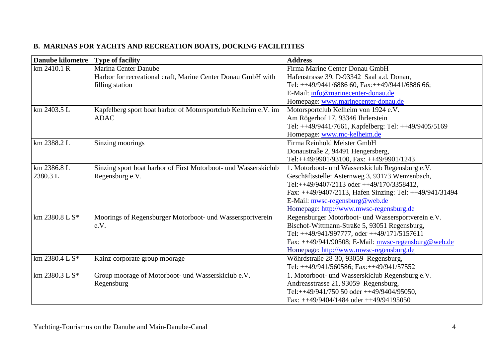| <b>Danube kilometre</b> | <b>Type of facility</b>                                         | <b>Address</b>                                          |
|-------------------------|-----------------------------------------------------------------|---------------------------------------------------------|
| km 2410.1 R             | Marina Center Danube                                            | Firma Marine Center Donau GmbH                          |
|                         | Harbor for recreational craft, Marine Center Donau GmbH with    | Hafenstrasse 39, D-93342 Saal a.d. Donau,               |
|                         | filling station                                                 | Tel: $++49/9441/6886$ 60, Fax: $++49/9441/6886$ 66;     |
|                         |                                                                 | E-Mail: info@marinecenter-donau.de                      |
|                         |                                                                 | Homepage: www.marinecenter-donau.de                     |
| km 2403.5 L             | Kapfelberg sport boat harbor of Motorsportclub Kelheim e.V. im  | Motorsportclub Kelheim von 1924 e.V.                    |
|                         | <b>ADAC</b>                                                     | Am Rögerhof 17, 93346 Ihrlerstein                       |
|                         |                                                                 | Tel: ++49/9441/7661, Kapfelberg: Tel: ++49/9405/5169    |
|                         |                                                                 | Homepage: www.mc-kelheim.de                             |
| km 2388.2 L             | Sinzing moorings                                                | Firma Reinhold Meister GmbH                             |
|                         |                                                                 | Donaustraße 2, 94491 Hengersberg,                       |
|                         |                                                                 | Tel:++49/9901/93100, Fax: ++49/9901/1243                |
| km 2386.8 L             | Sinzing sport boat harbor of First Motorboot- und Wasserskiclub | 1. Motorboot- und Wasserskiclub Regensburg e.V.         |
| 2380.3L                 | Regensburg e.V.                                                 | Geschäftsstelle: Asternweg 3, 93173 Wenzenbach,         |
|                         |                                                                 | Tel:++49/9407/2113 oder ++49/170/3358412,               |
|                         |                                                                 | Fax: ++49/9407/2113, Hafen Sinzing: Tel: ++49/941/31494 |
|                         |                                                                 | E-Mail: mwsc-regensburg@web.de                          |
|                         |                                                                 | Homepage: http://www.mwsc-regensburg.de                 |
| km 2380.8 L S*          | Moorings of Regensburger Motorboot- und Wassersportverein       | Regensburger Motorboot- und Wassersportverein e.V.      |
|                         | e.V.                                                            | Bischof-Wittmann-Straße 5, 93051 Regensburg,            |
|                         |                                                                 | Tel: ++49/941/997777, oder ++49/171/5157611             |
|                         |                                                                 | Fax: $++49/941/90508$ ; E-Mail: mwsc-regensburg @web.de |
|                         |                                                                 | Homepage: http://www.mwsc-regensburg.de                 |
| $km$ 2380.4 L S*        | Kainz corporate group moorage                                   | Wöhrdstraße 28-30, 93059 Regensburg,                    |
|                         |                                                                 | Tel: ++49/941/560586; Fax:++49/941/57552                |
| $km 2380.3 L S*$        | Group moorage of Motorboot- und Wasserskiclub e.V.              | 1. Motorboot- und Wasserskiclub Regensburg e.V.         |
|                         | Regensburg                                                      | Andreasstrasse 21, 93059 Regensburg,                    |
|                         |                                                                 | Tel:++49/941/750 50 oder ++49/9404/95050,               |
|                         |                                                                 | Fax: $++49/9404/1484$ oder $++49/94195050$              |

#### **B. MARINAS FOR YACHTS AND RECREATION BOATS, DOCKING FACILITITES**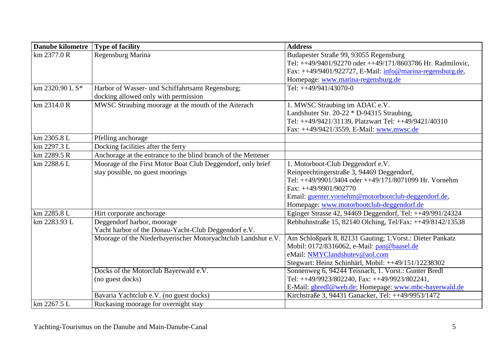| <b>Danube kilometre</b> | <b>Type of facility</b>                                       | <b>Address</b>                                             |
|-------------------------|---------------------------------------------------------------|------------------------------------------------------------|
| km 2377.0 R             | Regensburg Marina                                             | Budapester Straße 99, 93055 Regensburg                     |
|                         |                                                               | Tel: ++49/9401/92270 oder ++49/171/8603786 Hr. Radmilovic, |
|                         |                                                               | Fax: ++49/9401/922727, E-Mail: info@marina-regensburg.de,  |
|                         |                                                               | Homepage: www.marina-regensburg.de                         |
| km 2320.90 L S*         | Harbor of Wasser- und Schiffahrtsamt Regensburg;              | Tel: $++49/941/43070-0$                                    |
|                         | docking allowed only with permission                          |                                                            |
| km 2314.0 R             | MWSC Straubing moorage at the mouth of the Aiterach           | 1. MWSC Straubing im ADAC e.V.                             |
|                         |                                                               | Landshuter Str. 20-22 * D-94315 Straubing,                 |
|                         |                                                               | Tel: ++49/9421/31139, Platzwart Tel: ++49/9421/40310       |
|                         |                                                               | Fax: ++49/9421/3559, E-Mail: www.mwsc.de                   |
| km 2305.8 L             | Pfelling anchorage                                            |                                                            |
| km 2297.3 L             | Docking facilities after the ferry                            |                                                            |
| km 2289.5 R             | Anchorage at the entrance to the blind branch of the Mettener |                                                            |
| km 2288.6 L             | Moorage of the First Motor Boat Club Deggendorf, only brief   | 1. Motorboot-Club Deggendorf e.V.                          |
|                         | stay possible, no guest moorings                              | Reinprechtingerstraße 3, 94469 Deggendorf,                 |
|                         |                                                               | Tel: ++49/9901/3404 oder ++49/171/8071099 Hr. Vornehm      |
|                         |                                                               | Fax: $++49/9901/902770$                                    |
|                         |                                                               | Email: guenter.vornehm@motorbootclub-deggendorf.de,        |
|                         |                                                               | Homepage: www.motorbootclub-deggendorf.de                  |
| km 2285.8 L             | Hirt corporate anchorage                                      | Eginger Strasse 42, 94469 Deggendorf, Tel: ++49/991/24324  |
| km 2283.93 L            | Deggendorf harbor, moorage                                    | Rebhuhnstraße 15, 82140 Olching, Tel/Fax: ++49/8142/13538  |
|                         | Yacht harbor of the Donau-Yacht-Club Deggendorf e.V.          |                                                            |
|                         | Moorage of the Niederbayerischer Motoryachtclub Landshut e.V. | Am Schloßpark 8, 82131 Gauting; 1. Vorst.: Dieter Pankatz  |
|                         |                                                               | Mobil: 0172/8316062, e-Mail: pan@baasel.de                 |
|                         |                                                               | eMail: NMYClandshutev@aol.com                              |
|                         |                                                               | Stegwart: Heinz Schinhärl, Mobil: ++49/151/12238302        |
|                         | Docks of the Motorclub Bayerwald e.V.                         | Sonnenweg 6, 94244 Teisnach, 1. Vorst.: Gunter Bredl       |
|                         | (no guest docks)                                              | Tel: ++49/9923/802240, Fax: ++49/9923/802241,              |
|                         |                                                               | E-Mail: gbredl@web.de; Homepage: www.mbc-bayerwald.de      |
|                         | Bavaria Yachtclub e.V. (no guest docks)                       | Kirchstraße 3, 94431 Ganacker, Tel: ++49/9953/1472         |
| km 2267.5 L             | Ruckasing moorage for overnight stay                          |                                                            |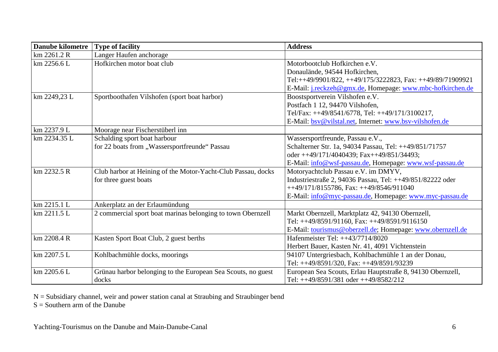| <b>Danube kilometre</b> | <b>Type of facility</b>                                      | <b>Address</b>                                                    |
|-------------------------|--------------------------------------------------------------|-------------------------------------------------------------------|
| km 2261.2 R             | Langer Haufen anchorage                                      |                                                                   |
| km 2256.6 L             | Hofkirchen motor boat club                                   | Motorbootclub Hofkirchen e.V.                                     |
|                         |                                                              | Donaulände, 94544 Hofkirchen,                                     |
|                         |                                                              | Tel:++49/9901/822, ++49/175/3222823, Fax: ++49/89/71909921        |
|                         |                                                              | E-Mail: <i>j.reckzeh@gmx.de</i> , Homepage: www.mbc-hofkirchen.de |
| km 2249,23 L            | Sportboothafen Vilshofen (sport boat harbor)                 | Boostsportverein Vilshofen e.V.                                   |
|                         |                                                              | Postfach 1 12, 94470 Vilshofen,                                   |
|                         |                                                              | Tel/Fax: ++49/8541/6778, Tel: ++49/171/3100217,                   |
|                         |                                                              | E-Mail: bsv@vilstal.net, Internet: www.bsv-vilshofen.de           |
| km 2237.9 L             | Moorage near Fischerstüberl inn                              |                                                                   |
| km 2234.35 L            | Schalding sport boat harbour                                 | Wassersportfreunde, Passau e.V.,                                  |
|                         | for 22 boats from "Wassersportfreunde" Passau                | Schalterner Str. 1a, 94034 Passau, Tel: ++49/851/71757            |
|                         |                                                              | oder ++49/171/4040439; Fax++49/851/34493;                         |
|                         |                                                              | E-Mail: info@wsf-passau.de, Homepage: www.wsf-passau.de           |
| km 2232.5 R             | Club harbor at Heining of the Motor-Yacht-Club Passau, docks | Motoryachtclub Passau e.V. im DMYV,                               |
|                         | for three guest boats                                        | Industriestraße 2, 94036 Passau, Tel: ++49/851/82222 oder         |
|                         |                                                              | $++49/171/8155786$ , Fax: $++49/8546/911040$                      |
|                         |                                                              | E-Mail: info@myc-passau.de, Homepage: www.myc-passau.de           |
| km 2215.1 L             | Ankerplatz an der Erlaumündung                               |                                                                   |
| km 2211.5 L             | 2 commercial sport boat marinas belonging to town Obernzell  | Markt Obernzell, Marktplatz 42, 94130 Obernzell,                  |
|                         |                                                              | Tel: ++49/8591/91160, Fax: ++49/8591/9116150                      |
|                         |                                                              | E-Mail: tourismus@oberzell.de; Homepage: www.obernzell.de         |
| km 2208.4 R             | Kasten Sport Boat Club, 2 guest berths                       | Hafenmeister Tel: ++43/7714/8020                                  |
|                         |                                                              | Herbert Bauer, Kasten Nr. 41, 4091 Vichtenstein                   |
| km 2207.5 L             | Kohlbachmühle docks, moorings                                | 94107 Untergriesbach, Kohlbachmühle 1 an der Donau,               |
|                         |                                                              | Tel: ++49/8591/320, Fax: ++49/8591/93239                          |
| km 2205.6 L             | Grünau harbor belonging to the European Sea Scouts, no guest | European Sea Scouts, Erlau Hauptstraße 8, 94130 Obernzell,        |
|                         | docks                                                        | Tel: $++49/8591/381$ oder $++49/8582/212$                         |

N = Subsidiary channel, weir and power station canal at Straubing and Straubinger bend S = Southern arm of the Danube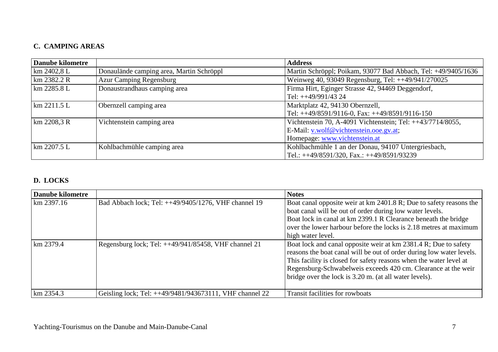## **C. CAMPING AREAS**

| <b>Danube kilometre</b> |                                          | <b>Address</b>                                                |
|-------------------------|------------------------------------------|---------------------------------------------------------------|
| $km\,2402.8\,L$         | Donaulände camping area, Martin Schröppl | Martin Schröppl; Poikam, 93077 Bad Abbach, Tel: +49/9405/1636 |
| $km$ 2382.2 R           | <b>Azur Camping Regensburg</b>           | Weinweg 40, 93049 Regensburg, Tel: ++49/941/270025            |
| km 2285.8 L             | Donaustrandhaus camping area             | Firma Hirt, Eginger Strasse 42, 94469 Deggendorf,             |
|                         |                                          | Tel: $++49/991/43$ 24                                         |
| km 2211.5 L             | Obernzell camping area                   | Marktplatz 42, 94130 Obernzell,                               |
|                         |                                          | Tel: ++49/8591/9116-0, Fax: ++49/8591/9116-150                |
| $km\,2208.3 R$          | Vichtenstein camping area                | Vichtenstein 70, A-4091 Vichtenstein; Tel: ++43/7714/8055,    |
|                         |                                          | E-Mail: v.wolf@vichtenstein.ooe.gv.at;                        |
|                         |                                          | Homepage: www.vichtenstein.at                                 |
| $km$ 2207.5 L           | Kohlbachmühle camping area               | Kohlbachmühle 1 an der Donau, 94107 Untergriesbach,           |
|                         |                                          | Tel.: ++49/8591/320, Fax.: ++49/8591/93239                    |

#### **D. LOCKS**

| Danube kilometre |                                                         | <b>Notes</b>                                                                                                                                                                                                                                                                                                                             |
|------------------|---------------------------------------------------------|------------------------------------------------------------------------------------------------------------------------------------------------------------------------------------------------------------------------------------------------------------------------------------------------------------------------------------------|
| $km$ 2397.16     | Bad Abbach lock; Tel: ++49/9405/1276, VHF channel 19    | Boat canal opposite weir at km 2401.8 R; Due to safety reasons the<br>boat canal will be out of order during low water levels.<br>Boat lock in canal at km 2399.1 R Clearance beneath the bridge<br>over the lower harbour before the locks is 2.18 metres at maximum<br>high water level.                                               |
| $km$ 2379.4      | Regensburg lock; Tel: ++49/941/85458, VHF channel 21    | Boat lock and canal opposite weir at km 2381.4 R; Due to safety<br>reasons the boat canal will be out of order during low water levels.<br>This facility is closed for safety reasons when the water level at<br>Regensburg-Schwabelweis exceeds 420 cm. Clearance at the weir<br>bridge over the lock is 3.20 m. (at all water levels). |
| $\rm km 2354.3$  | Geisling lock; Tel: ++49/9481/943673111, VHF channel 22 | Transit facilities for rowboats                                                                                                                                                                                                                                                                                                          |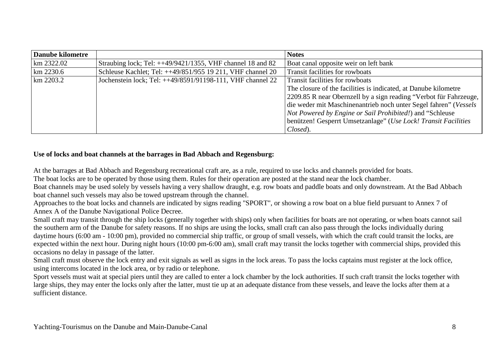| Danube kilometre |                                                               | <b>Notes</b>                                                      |
|------------------|---------------------------------------------------------------|-------------------------------------------------------------------|
| $km$ 2322.02     | Straubing lock; Tel: $++49/9421/1355$ , VHF channel 18 and 82 | Boat canal opposite weir on left bank                             |
| $km$ 2230.6      | Schleuse Kachlet; Tel: ++49/851/955 19 211, VHF channel 20    | Transit facilities for rowboats                                   |
| $km$ 2203.2      | Jochenstein lock; Tel: ++49/8591/91198-111, VHF channel 22    | Transit facilities for rowboats                                   |
|                  |                                                               | The closure of the facilities is indicated, at Danube kilometre   |
|                  |                                                               | 2209.85 R near Obernzell by a sign reading "Verbot für Fahrzeuge, |
|                  |                                                               | die weder mit Maschinenantrieb noch unter Segel fahren" (Vessels  |
|                  |                                                               | <i>Not Powered by Engine or Sail Prohibited!</i> ) and "Schleuse  |
|                  |                                                               | benützen! Gesperrt Umsetzanlage" (Use Lock! Transit Facilities    |
|                  |                                                               | Closed).                                                          |

#### **Use of locks and boat channels at the barrages in Bad Abbach and Regensburg:**

At the barrages at Bad Abbach and Regensburg recreational craft are, as a rule, required to use locks and channels provided for boats.

The boat locks are to be operated by those using them. Rules for their operation are posted at the stand near the lock chamber.

 Boat channels may be used solely by vessels having a very shallow draught, e.g. row boats and paddle boats and only downstream. At the Bad Abbach boat channel such vessels may also be towed upstream through the channel.

 Approaches to the boat locks and channels are indicated by signs reading "SPORT", or showing a row boat on a blue field pursuant to Annex 7 of Annex A of the Danube Navigational Police Decree.

 Small craft may transit through the ship locks (generally together with ships) only when facilities for boats are not operating, or when boats cannot sail the southern arm of the Danube for safety reasons. If no ships are using the locks, small craft can also pass through the locks individually during daytime hours (6:00 am - 10:00 pm), provided no commercial ship traffic, or group of small vessels, with which the craft could transit the locks, are expected within the next hour. During night hours (10:00 pm-6:00 am), small craft may transit the locks together with commercial ships, provided this occasions no delay in passage of the latter.

 Small craft must observe the lock entry and exit signals as well as signs in the lock areas. To pass the locks captains must register at the lock office,using intercoms located in the lock area, or by radio or telephone.

 Sport vessels must wait at special piers until they are called to enter a lock chamber by the lock authorities. If such craft transit the locks together with large ships, they may enter the locks only after the latter, must tie up at an adequate distance from these vessels, and leave the locks after them at a sufficient distance.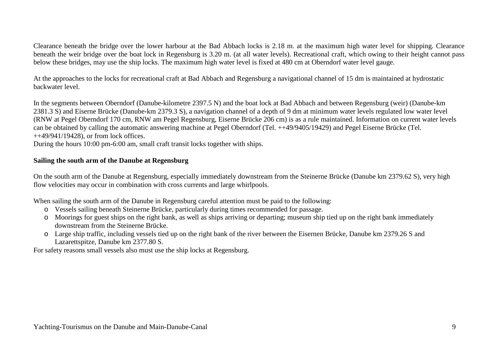Clearance beneath the bridge over the lower harbour at the Bad Abbach locks is 2.18 m. at the maximum high water level for shipping. Clearance beneath the weir bridge over the boat lock in Regensburg is 3.20 m. (at all water levels). Recreational craft, which owing to their height cannot pass below these bridges, may use the ship locks. The maximum high water level is fixed at 480 cm at Oberndorf water level gauge.

At the approaches to the locks for recreational craft at Bad Abbach and Regensburg a navigational channel of 15 dm is maintained at hydrostatic backwater level.

In the segments between Oberndorf (Danube-kilometre 2397.5 N) and the boat lock at Bad Abbach and between Regensburg (weir) (Danube-km 2381.3 S) and Eiserne Brücke (Danube-km 2379.3 S), a navigation channel of a depth of 9 dm at minimum water levels regulated low water level (RNW at Pegel Oberndorf 170 cm, RNW am Pegel Regensburg, Eiserne Brücke 206 cm) is as a rule maintained. Information on current water levels can be obtained by calling the automatic answering machine at Pegel Oberndorf (Tel. ++49/9405/19429) and Pegel Eiserne Brücke (Tel.  $++49/941/19428$ , or from lock offices.

During the hours 10:00 pm-6:00 am, small craft transit locks together with ships.

#### **Sailing the south arm of the Danube at Regensburg**

On the south arm of the Danube at Regensburg, especially immediately downstream from the Steinerne Brücke (Danube km 2379.62 S), very high flow velocities may occur in combination with cross currents and large whirlpools.

When sailing the south arm of the Danube in Regensburg careful attention must be paid to the following:

- o Vessels sailing beneath Steinerne Brücke, particularly during times recommended for passage.
- o Moorings for guest ships on the right bank, as well as ships arriving or departing; museum ship tied up on the right bank immediately downstream from the Steinerne Brücke.
- o Large ship traffic, including vessels tied up on the right bank of the river between the Eisernen Brücke, Danube km 2379.26 S and Lazarettspitze, Danube km 2377.80 S.

For safety reasons small vessels also must use the ship locks at Regensburg.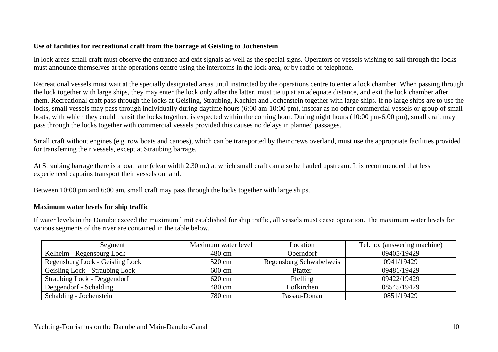#### **Use of facilities for recreational craft from the barrage at Geisling to Jochenstein**

In lock areas small craft must observe the entrance and exit signals as well as the special signs. Operators of vessels wishing to sail through the locksmust announce themselves at the operations centre using the intercoms in the lock area, or by radio or telephone.

Recreational vessels must wait at the specially designated areas until instructed by the operations centre to enter a lock chamber. When passing through the lock together with large ships, they may enter the lock only after the latter, must tie up at an adequate distance, and exit the lock chamber after them. Recreational craft pass through the locks at Geisling, Straubing, Kachlet and Jochenstein together with large ships. If no large ships are to use the locks, small vessels may pass through individually during daytime hours (6:00 am-10:00 pm), insofar as no other commercial vessels or group of small boats, with which they could transit the locks together, is expected within the coming hour. During night hours (10:00 pm-6:00 pm), small craft may pass through the locks together with commercial vessels provided this causes no delays in planned passages.

Small craft without engines (e.g. row boats and canoes), which can be transported by their crews overland, must use the appropriate facilities provided for transferring their vessels, except at Straubing barrage.

At Straubing barrage there is a boat lane (clear width 2.30 m.) at which small craft can also be hauled upstream. It is recommended that less experienced captains transport their vessels on land.

Between 10:00 pm and 6:00 am, small craft may pass through the locks together with large ships.

#### **Maximum water levels for ship traffic**

If water levels in the Danube exceed the maximum limit established for ship traffic, all vessels must cease operation. The maximum water levels for various segments of the river are contained in the table below.

| Segment                            | Maximum water level | Location                | Tel. no. (answering machine) |
|------------------------------------|---------------------|-------------------------|------------------------------|
| Kelheim - Regensburg Lock          | 480 cm              | <b>Oberndorf</b>        | 09405/19429                  |
| Regensburg Lock - Geisling Lock    | 520 cm              | Regensburg Schwabelweis | 0941/19429                   |
| Geisling Lock - Straubing Lock     | 600 cm              | Pfatter                 | 09481/19429                  |
| <b>Straubing Lock - Deggendorf</b> | 620 cm              | Pfelling                | 09422/19429                  |
| Deggendorf - Schalding             | 480 cm              | Hofkirchen              | 08545/19429                  |
| Schalding - Jochenstein            | 780 cm              | Passau-Donau            | 0851/19429                   |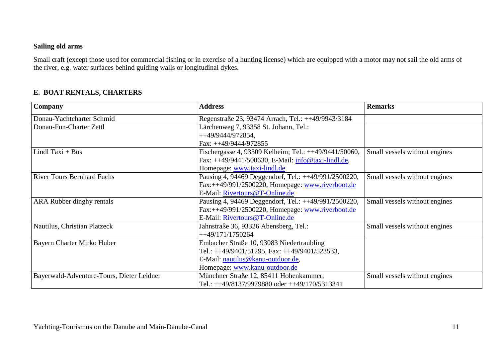#### **Sailing old arms**

Small craft (except those used for commercial fishing or in exercise of a hunting license) which are equipped with a motor may not sail the old arms of the river, e.g. water surfaces behind guiding walls or longitudinal dykes.

#### **E. BOAT RENTALS, CHARTERS**

| Company                                   | <b>Address</b>                                        | <b>Remarks</b>                |
|-------------------------------------------|-------------------------------------------------------|-------------------------------|
| Donau-Yachtcharter Schmid                 | Regenstraße 23, 93474 Arrach, Tel.: ++49/9943/3184    |                               |
| Donau-Fun-Charter Zettl                   | Lärchenweg 7, 93358 St. Johann, Tel.:                 |                               |
|                                           | $++49/9444/972854$ ,                                  |                               |
|                                           | Fax: $++49/9444/972855$                               |                               |
| Lindl Taxi + Bus                          | Fischergasse 4, 93309 Kelheim; Tel.: ++49/9441/50060, | Small vessels without engines |
|                                           | Fax: ++49/9441/500630, E-Mail: info@taxi-lindl.de,    |                               |
|                                           | Homepage: www.taxi-lindl.de                           |                               |
| <b>River Tours Bernhard Fuchs</b>         | Pausing 4, 94469 Deggendorf, Tel.: ++49/991/2500220,  | Small vessels without engines |
|                                           | Fax:++49/991/2500220, Homepage: www.riverboot.de      |                               |
|                                           | E-Mail: Rivertours@T-Online.de                        |                               |
| ARA Rubber dinghy rentals                 | Pausing 4, 94469 Deggendorf, Tel.: ++49/991/2500220,  | Small vessels without engines |
|                                           | Fax:++49/991/2500220, Homepage: www.riverboot.de      |                               |
|                                           | E-Mail: Rivertours@T-Online.de                        |                               |
| Nautilus, Christian Platzeck              | Jahnstraße 36, 93326 Abensberg, Tel.:                 | Small vessels without engines |
|                                           | $+ +49/171/1750264$                                   |                               |
| Bayern Charter Mirko Huber                | Embacher Straße 10, 93083 Niedertraubling             |                               |
|                                           | Tel.: $++49/9401/51295$ , Fax: $++49/9401/523533$ ,   |                               |
|                                           | E-Mail: nautilus@kanu-outdoor.de,                     |                               |
|                                           | Homepage: www.kanu-outdoor.de                         |                               |
| Bayerwald-Adventure-Tours, Dieter Leidner | Münchner Straße 12, 85411 Hohenkammer,                | Small vessels without engines |
|                                           | Tel.: ++49/8137/9979880 oder ++49/170/5313341         |                               |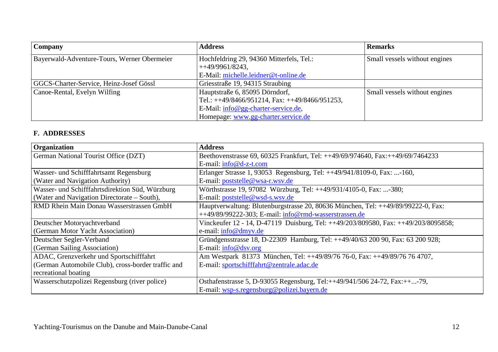| <b>Company</b>                              | <b>Address</b>                                                                         | <b>Remarks</b>                |
|---------------------------------------------|----------------------------------------------------------------------------------------|-------------------------------|
| Bayerwald-Adventure-Tours, Werner Obermeier | Hochfeldring 29, 94360 Mitterfels, Tel.:<br>$+49/9961/8243,$                           | Small vessels without engines |
|                                             | E-Mail: michelle.leidner@t-online.de                                                   |                               |
| GGCS-Charter-Service, Heinz-Josef Gössl     | Griesstraße 19, 94315 Straubing                                                        |                               |
| Canoe-Rental, Evelyn Wilfing                | Hauptstraße 6, 85095 Dörndorf,<br>Tel.: $++49/8466/951214$ , Fax: $++49/8466/951253$ , | Small vessels without engines |
|                                             | $E$ -Mail: info@gg-charter-service.de,                                                 |                               |
|                                             | Homepage: www.gg-charter.service.de                                                    |                               |

#### **F. ADDRESSES**

| Organization                                       | <b>Address</b>                                                                     |
|----------------------------------------------------|------------------------------------------------------------------------------------|
| <b>German National Tourist Office (DZT)</b>        | Beethovenstrasse 69, 60325 Frankfurt, Tel: ++49/69/974640, Fax:++49/69/7464233     |
|                                                    | E-mail: $info@d-z-t.com$                                                           |
| <b>Wasser- und Schifffahrtsamt Regensburg</b>      | Erlanger Strasse 1, 93053 Regensburg, Tel: ++49/941/8109-0, Fax: -160,             |
| (Water and Navigation Authority)                   | E-mail: poststelle@wsa-r.wsv.de                                                    |
| Wasser- und Schifffahrtsdirektion Süd, Würzburg    | Wörthstrasse 19, 97082 Würzburg, Tel: ++49/931/4105-0, Fax: -380;                  |
| (Water and Navigation Directorate – South),        | E-mail: poststelle@wsd-s.wsv.de                                                    |
| <b>RMD Rhein Main Donau Wasserstrassen GmbH</b>    | Hauptverwaltung: Blutenburgstrasse 20, 80636 München, Tel: ++49/89/99222-0, Fax:   |
|                                                    | ++49/89/99222-303; E-mail: info@rmd-wasserstrassen.de                              |
| Deutscher Motoryachtverband                        | Vinckeufer 12 - 14, D-47119 Duisburg, Tel: ++49/203/809580, Fax: ++49/203/8095858; |
| (German Motor Yacht Association)                   | e-mail: $info@dmyv.de$                                                             |
| Deutscher Segler-Verband                           | Gründgensstrasse 18, D-22309 Hamburg, Tel: ++49/40/63 200 90, Fax: 63 200 928;     |
| (German Sailing Association)                       | E-mail: info@dsv.org                                                               |
| ADAC, Grenzverkehr und Sportschifffahrt            | Am Westpark 81373 München, Tel: ++49/89/76 76-0, Fax: ++49/89/76 76 4707,          |
| (German Automobile Club), cross-border traffic and | E-mail: sportschifffahrt@zentrale.adac.de                                          |
| recreational boating                               |                                                                                    |
| Wasserschutzpolizei Regensburg (river police)      | Osthafenstrasse 5, D-93055 Regensburg, Tel:++49/941/506 24-72, Fax:++-79,          |
|                                                    | E-mail: wsp-s.regensburg@polizei.bayern.de                                         |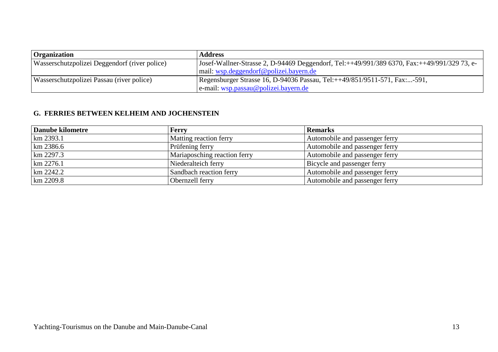| <b>Organization</b>                           | <b>Address</b>                                                                              |
|-----------------------------------------------|---------------------------------------------------------------------------------------------|
| Wasserschutzpolizei Deggendorf (river police) | Josef-Wallner-Strasse 2, D-94469 Deggendorf, Tel:++49/991/389 6370, Fax:++49/991/329 73, e- |
|                                               | $\vert$ mail: wsp.deggendorf@polizei.bayern.de                                              |
| Wasserschutzpolizei Passau (river police)     | Regensburger Strasse 16, D-94036 Passau, Tel:++49/851/9511-571, Fax:-591,                   |
|                                               | $ e$ -mail: wsp.passau@polizei.bayern.de                                                    |

#### **G. FERRIES BETWEEN KELHEIM AND JOCHENSTEIN**

| Danube kilometre | <b>Ferry</b>                 | <b>Remarks</b>                 |
|------------------|------------------------------|--------------------------------|
| km 2393.1        | Matting reaction ferry       | Automobile and passenger ferry |
| $km$ 2386.6      | Prüfening ferry              | Automobile and passenger ferry |
| km 2297.3        | Mariaposching reaction ferry | Automobile and passenger ferry |
| km 2276.1        | Niederalteich ferry          | Bicycle and passenger ferry    |
| km 2242.2        | Sandbach reaction ferry      | Automobile and passenger ferry |
| km 2209.8        | Obernzell ferry              | Automobile and passenger ferry |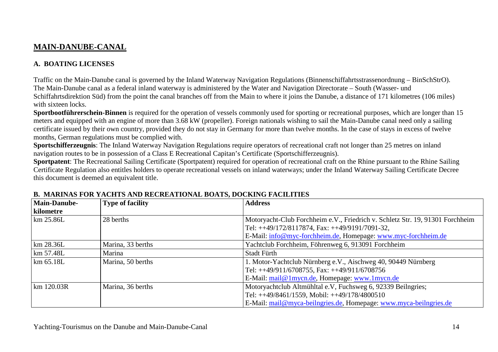# **MAIN-DANUBE-CANAL**

#### **A. BOATING LICENSES**

Traffic on the Main-Danube canal is governed by the Inland Waterway Navigation Regulations (Binnenschiffahrtsstrassenordnung – BinSchStrO). The Main-Danube canal as a federal inland waterway is administered by the Water and Navigation Directorate – South (Wasser- und Schiffahrtsdirektion Süd) from the point the canal branches off from the Main to where it joins the Danube, a distance of 171 kilometres (106 miles) with sixteen locks.

 **Sportbootführerschein-Binnen** is required for the operation of vessels commonly used for sporting or recreational purposes, which are longer than 15 meters and equipped with an engine of more than 3.68 kW (propeller). Foreign nationals wishing to sail the Main-Danube canal need only a sailing certificate issued by their own country, provided they do not stay in Germany for more than twelve months. In the case of stays in excess of twelve months, German regulations must be complied with.

 **Sportschifferzeugnis**: The Inland Waterway Navigation Regulations require operators of recreational craft not longer than 25 metres on inland navigation routes to be in possession of a Class E Recreational Capitan's Certificate (Sportschifferzeugnis).

 **Sportpatent**: The Recreational Sailing Certificate (Sportpatent) required for operation of recreational craft on the Rhine pursuant to the Rhine Sailing Certificate Regulation also entitles holders to operate recreational vessels on inland waterways; under the Inland Waterway Sailing Certificate Decree this document is deemed an equivalent title.

| <b>Main-Danube-</b> | <b>Type of facility</b> | <b>Address</b>                                                                |
|---------------------|-------------------------|-------------------------------------------------------------------------------|
| <b>kilometre</b>    |                         |                                                                               |
| km 25.86L           | 28 berths               | Motoryacht-Club Forchheim e.V., Friedrich v. Schletz Str. 19, 91301 Forchheim |
|                     |                         | Tel: $++49/172/8117874$ , Fax: $++49/9191/7091-32$ ,                          |
|                     |                         | E-Mail: info@myc-forchheim.de, Homepage: www.myc-forchheim.de                 |
| $km$ 28.36L         | Marina, 33 berths       | Yachtclub Forchheim, Föhrenweg 6, 913091 Forchheim                            |
| km 57.48L           | Marina                  | Stadt Fürth                                                                   |
| km 65.18L           | Marina, 50 berths       | 1. Motor-Yachtclub Nürnberg e.V., Aischweg 40, 90449 Nürnberg                 |
|                     |                         | Tel: $++49/911/6708755$ , Fax: $++49/911/6708756$                             |
|                     |                         | E-Mail: mail@1mycn.de, Homepage: www.1mycn.de                                 |
| km 120.03R          | Marina, 36 berths       | Motoryachtclub Altmühltal e.V, Fuchsweg 6, 92339 Beilngries;                  |
|                     |                         | Tel: $++49/8461/1559$ , Mobil: $++49/178/4800510$                             |
|                     |                         | E-Mail: mail@myca-beilngries.de, Homepage: www.myca-beilngries.de             |

#### **B. MARINAS FOR YACHTS AND RECREATIONAL BOATS, DOCKING FACILITIES**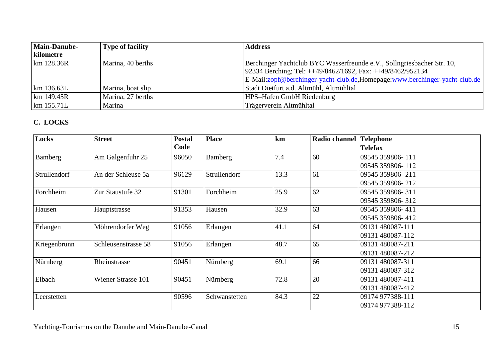| <b>Main-Danube-</b>   | <b>Type of facility</b> | <b>Address</b>                                                             |
|-----------------------|-------------------------|----------------------------------------------------------------------------|
| kilometre             |                         |                                                                            |
| km 128.36R            | Marina, 40 berths       | Berchinger Yachtclub BYC Wasserfreunde e.V., Sollngriesbacher Str. 10,     |
|                       |                         | 92334 Berching; Tel: ++49/8462/1692, Fax: ++49/8462/952134                 |
|                       |                         | E-Mail:zopf@berchinger-yacht-club.de,Homepage:www.berchinger-yacht-club.de |
| km 136.63L            | Marina, boat slip       | Stadt Dietfurt a.d. Altmühl, Altmühltal                                    |
| km 149.45R            | Marina, 27 berths       | <b>HPS-Hafen GmbH Riedenburg</b>                                           |
| $\mathrm{km}$ 155.71L | Marina                  | Trägerverein Altmühltal                                                    |

## **C. LOCKS**

| Locks        | <b>Street</b>             | <b>Postal</b> | <b>Place</b>  | km   | Radio channel | <b>Telephone</b> |
|--------------|---------------------------|---------------|---------------|------|---------------|------------------|
|              |                           | Code          |               |      |               | <b>Telefax</b>   |
| Bamberg      | Am Galgenfuhr 25          | 96050         | Bamberg       | 7.4  | 60            | 09545 359806-111 |
|              |                           |               |               |      |               | 09545 359806-112 |
| Strullendorf | An der Schleuse 5a        | 96129         | Strullendorf  | 13.3 | 61            | 09545 359806-211 |
|              |                           |               |               |      |               | 09545 359806-212 |
| Forchheim    | Zur Staustufe 32          | 91301         | Forchheim     | 25.9 | 62            | 09545 359806-311 |
|              |                           |               |               |      |               | 09545 359806-312 |
| Hausen       | Hauptstrasse              | 91353         | Hausen        | 32.9 | 63            | 09545 359806-411 |
|              |                           |               |               |      |               | 09545 359806-412 |
| Erlangen     | Möhrendorfer Weg          | 91056         | Erlangen      | 41.1 | 64            | 09131 480087-111 |
|              |                           |               |               |      |               | 09131 480087-112 |
| Kriegenbrunn | Schleusenstrasse 58       | 91056         | Erlangen      | 48.7 | 65            | 09131 480087-211 |
|              |                           |               |               |      |               | 09131 480087-212 |
| Nürnberg     | Rheinstrasse              | 90451         | Nürnberg      | 69.1 | 66            | 09131 480087-311 |
|              |                           |               |               |      |               | 09131 480087-312 |
| Eibach       | <b>Wiener Strasse 101</b> | 90451         | Nürnberg      | 72.8 | 20            | 09131 480087-411 |
|              |                           |               |               |      |               | 09131 480087-412 |
| Leerstetten  |                           | 90596         | Schwanstetten | 84.3 | 22            | 09174 977388-111 |
|              |                           |               |               |      |               | 09174 977388-112 |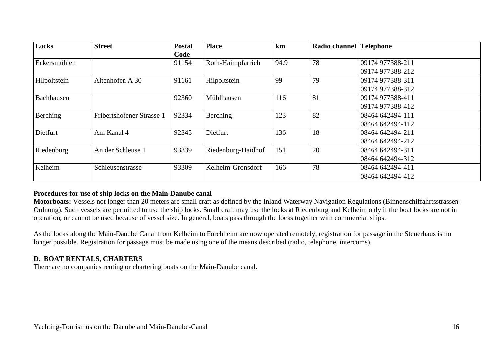| Locks        | <b>Street</b>             | <b>Postal</b> | <b>Place</b>       | km   | Radio channel   Telephone |                  |
|--------------|---------------------------|---------------|--------------------|------|---------------------------|------------------|
|              |                           | Code          |                    |      |                           |                  |
| Eckersmühlen |                           | 91154         | Roth-Haimpfarrich  | 94.9 | 78                        | 09174 977388-211 |
|              |                           |               |                    |      |                           | 09174 977388-212 |
| Hilpoltstein | Altenhofen A 30           | 91161         | Hilpoltstein       | 99   | 79                        | 09174 977388-311 |
|              |                           |               |                    |      |                           | 09174 977388-312 |
| Bachhausen   |                           | 92360         | Mühlhausen         | 116  | 81                        | 09174 977388-411 |
|              |                           |               |                    |      |                           | 09174 977388-412 |
| Berching     | Fribertshofener Strasse 1 | 92334         | Berching           | 123  | 82                        | 08464 642494-111 |
|              |                           |               |                    |      |                           | 08464 642494-112 |
| Dietfurt     | Am Kanal 4                | 92345         | Dietfurt           | 136  | 18                        | 08464 642494-211 |
|              |                           |               |                    |      |                           | 08464 642494-212 |
| Riedenburg   | An der Schleuse 1         | 93339         | Riedenburg-Haidhof | 151  | 20                        | 08464 642494-311 |
|              |                           |               |                    |      |                           | 08464 642494-312 |
| Kelheim      | Schleusenstrasse          | 93309         | Kelheim-Gronsdorf  | 166  | 78                        | 08464 642494-411 |
|              |                           |               |                    |      |                           | 08464 642494-412 |

#### **Procedures for use of ship locks on the Main-Danube canal**

 **Motorboats:** Vessels not longer than 20 meters are small craft as defined by the Inland Waterway Navigation Regulations (Binnenschiffahrtsstrassen-Ordnung). Such vessels are permitted to use the ship locks. Small craft may use the locks at Riedenburg and Kelheim only if the boat locks are not in operation, or cannot be used because of vessel size. In general, boats pass through the locks together with commercial ships.

As the locks along the Main-Danube Canal from Kelheim to Forchheim are now operated remotely, registration for passage in the Steuerhaus is no longer possible. Registration for passage must be made using one of the means described (radio, telephone, intercoms).

#### **D. BOAT RENTALS, CHARTERS**

There are no companies renting or chartering boats on the Main-Danube canal.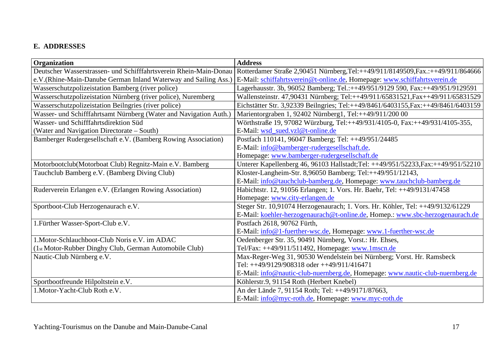## **E. ADDRESSES**

| <b>Organization</b>                                               | <b>Address</b>                                                                    |
|-------------------------------------------------------------------|-----------------------------------------------------------------------------------|
| Deutscher Wasserstrassen- und Schifffahrtsverein Rhein-Main-Donau | Rotterdamer Straße 2,90451 Nürnberg, Tel:++49/911/8149509, Fax.:++49/911/864666   |
| e.V.(Rhine-Main-Danube German Inland Waterway and Sailing Ass.)   | E-Mail: schiffahrtsverein@t-online.de, Homepage: www.schiffahrtsverein.de         |
| Wasserschutzpolizeistation Bamberg (river police)                 | Lagerhausstr. 3b, 96052 Bamberg; Tel.:++49/951/9129 590, Fax:++49/951/9129591     |
| Wasserschutzpolizeistation Nürnberg (river police), Nuremberg     | Wallensteinstr. 47,90431 Nürnberg; Tel:++49/911/65831521, Fax++49/911/65831529    |
| Wasserschutzpolizeistation Beilngries (river police)              | Eichstätter Str. 3,92339 Beilngries; Tel:++49/8461/6403155, Fax:++49/8461/6403159 |
| Wasser- und Schifffahrtsamt Nürnberg (Water and Navigation Auth.) | Marientorgraben 1, 92402 Nürnberg1, Tel:++49/911/200 00                           |
| Wasser- und Schifffahrtsdirektion Süd                             | Wörthstraße 19, 97082 Würzburg, Tel:++49/931/4105-0, Fax:++49/931/4105-355,       |
| (Water and Navigation Directorate - South)                        | E-Mail: wsd_sued.vzl@t-online.de                                                  |
| Bamberger Rudergesellschaft e.V. (Bamberg Rowing Association)     | Postfach 110141, 96047 Bamberg; Tel: ++49/951/24485                               |
|                                                                   | E-Mail: info@bamberger-rudergesellschaft.de,                                      |
|                                                                   | Homepage: www.bamberger-rudergesellschaft.de                                      |
| Motorbootclub(Motorboat Club) Regnitz-Main e.V. Bamberg           | Unterer Kapellenberg 46, 96103 Hallstadt;Tel: ++49/951/52233,Fax:++49/951/52210   |
| Tauchclub Bamberg e.V. (Bamberg Diving Club)                      | Kloster-Langheim-Str. 8,96050 Bamberg; Tel:++49/951/12143,                        |
|                                                                   | E-Mail: info@tauchclub-bamberg.de, Homepage: www.tauchclub-bamberg.de             |
| Ruderverein Erlangen e.V. (Erlangen Rowing Association)           | Habichtstr. 12, 91056 Erlangen; 1. Vors. Hr. Baehr, Tel: ++49/9131/47458          |
|                                                                   | Homepage: www.city-erlangen.de                                                    |
| Sportboot-Club Herzogenaurach e.V.                                | Steger Str. 10,91074 Herzogenaurach; 1. Vors. Hr. Köhler, Tel: ++49/9132/61229    |
|                                                                   | E-Mail: koehler-herzogenaurach@t-online.de, Homep.: www.sbc-herzogenaurach.de     |
| 1. Fürther Wasser-Sport-Club e.V.                                 | Postfach 2618, 90762 Fürth,                                                       |
|                                                                   | E-Mail: info@1-fuerther-wsc.de, Homepage: www.1-fuerther-wsc.de                   |
| 1. Motor-Schlauchboot-Club Noris e.V. im ADAC                     | Oedenberger Str. 35, 90491 Nürnberg, Vorst.: Hr. Ehses,                           |
| (1st Motor-Rubber Dinghy Club, German Automobile Club)            | Tel/Fax: ++49/911/511492, Homepage: www.1mscn.de                                  |
| Nautic-Club Nürnberg e.V.                                         | Max-Reger-Weg 31, 90530 Wendelstein bei Nürnberg; Vorst. Hr. Ramsbeck             |
|                                                                   | Tel: $\text{+}49/9129/908318$ oder $\text{+}49/911/416471$                        |
|                                                                   | E-Mail: info@nautic-club-nuernberg.de, Homepage: www.nautic-club-nuernberg.de     |
| Sportbootfreunde Hilpoltstein e.V.                                | Köhlerstr.9, 91154 Roth (Herbert Knebel)                                          |
| 1. Motor-Yacht-Club Roth e.V.                                     | An der Lände 7, 91154 Roth; Tel: ++49/9171/87663,                                 |
|                                                                   | E-Mail: info@myc-roth.de, Homepage: www.myc-roth.de                               |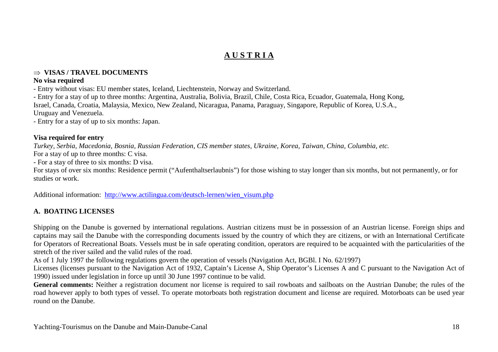# **A U S T R I A**

#### ⇒ **VISAS / TRAVEL DOCUMENTS**

#### **No visa required**

- Entry without visas: EU member states, Iceland, Liechtenstein, Norway and Switzerland.

 - Entry for a stay of up to three months: Argentina, Australia, Bolivia, Brazil, Chile, Costa Rica, Ecuador, Guatemala, Hong Kong, Israel, Canada, Croatia, Malaysia, Mexico, New Zealand, Nicaragua, Panama, Paraguay, Singapore, Republic of Korea, U.S.A., Uruguay and Venezuela.

- Entry for a stay of up to six months: Japan.

#### **Visa required for entry**

*Turkey, Serbia, Macedonia, Bosnia, Russian Federation, CIS member states, Ukraine, Korea, Taiwan, China, Columbia, etc.* 

For a stay of up to three months: C visa.

- For a stay of three to six months: D visa.

 For stays of over six months: Residence permit ("Aufenthaltserlaubnis") for those wishing to stay longer than six months, but not permanently, or for studies or work.

Additional information: http://www.actilingua.com/deutsch-lernen/wien\_visum.php

# **A. BOATING LICENSES**

Shipping on the Danube is governed by international regulations. Austrian citizens must be in possession of an Austrian license. Foreign ships and captains may sail the Danube with the corresponding documents issued by the country of which they are citizens, or with an International Certificate for Operators of Recreational Boats. Vessels must be in safe operating condition, operators are required to be acquainted with the particularities of thestretch of the river sailed and the valid rules of the road.

As of 1 July 1997 the following regulations govern the operation of vessels (Navigation Act, BGBl. I No. 62/1997)

 Licenses (licenses pursuant to the Navigation Act of 1932, Captain's License A, Ship Operator's Licenses A and C pursuant to the Navigation Act of 1990) issued under legislation in force up until 30 June 1997 continue to be valid.

 **General comments:** Neither a registration document nor license is required to sail rowboats and sailboats on the Austrian Danube; the rules of the road however apply to both types of vessel. To operate motorboats both registration document and license are required. Motorboats can be used year round on the Danube.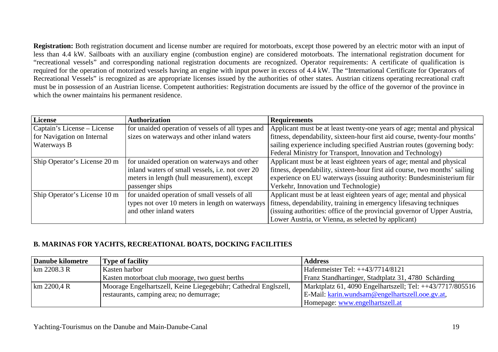**Registration:** Both registration document and license number are required for motorboats, except those powered by an electric motor with an input of less than 4.4 kW. Sailboats with an auxiliary engine (combustion engine) are considered motorboats. The international registration document for "recreational vessels" and corresponding national registration documents are recognized. Operator requirements: A certificate of qualification is required for the operation of motorized vessels having an engine with input power in excess of 4.4 kW. The "International Certificate for Operators of Recreational Vessels" is recognized as are appropriate licenses issued by the authorities of other states. Austrian citizens operating recreational craft must be in possession of an Austrian license. Competent authorities: Registration documents are issued by the office of the governor of the province in which the owner maintains his permanent residence.

| License                      | <b>Authorization</b>                              | <b>Requirements</b>                                                        |
|------------------------------|---------------------------------------------------|----------------------------------------------------------------------------|
| Captain's License – License  | for unaided operation of vessels of all types and | Applicant must be at least twenty-one years of age; mental and physical    |
| for Navigation on Internal   | sizes on waterways and other inland waters        | fitness, dependability, sixteen-hour first aid course, twenty-four months' |
| Waterways B                  |                                                   | sailing experience including specified Austrian routes (governing body:    |
|                              |                                                   | Federal Ministry for Transport, Innovation and Technology)                 |
| Ship Operator's License 20 m | for unaided operation on waterways and other      | Applicant must be at least eighteen years of age; mental and physical      |
|                              | inland waters of small vessels, i.e. not over 20  | fitness, dependability, sixteen-hour first aid course, two months' sailing |
|                              | meters in length (hull measurement), except       | experience on EU waterways (issuing authority: Bundesministerium für       |
|                              | passenger ships                                   | Verkehr, Innovation und Technologie)                                       |
| Ship Operator's License 10 m | for unaided operation of small vessels of all     | Applicant must be at least eighteen years of age; mental and physical      |
|                              | types not over 10 meters in length on waterways   | fitness, dependability, training in emergency lifesaving techniques        |
|                              | and other inland waters                           | (issuing authorities: office of the provincial governor of Upper Austria,  |
|                              |                                                   | Lower Austria, or Vienna, as selected by applicant)                        |

#### **B. MARINAS FOR YACHTS, RECREATIONAL BOATS, DOCKING FACILITIES**

| Danube kilometre | <b>Type of facility</b>                                         | <b>Address</b>                                            |
|------------------|-----------------------------------------------------------------|-----------------------------------------------------------|
| km 2208.3 R      | Kasten harbor                                                   | Hafenmeister Tel: $++43/7714/8121$                        |
|                  | Kasten motorboat club moorage, two guest berths                 | Franz Standhartinger, Stadtplatz 31, 4780 Schärding       |
| km 2200,4 R      | Moorage Engelhartszell, Keine Liegegebühr; Cathedral Englszell, | Marktplatz 61, 4090 Engelhartszell; Tel: ++43/7717/805516 |
|                  | restaurants, camping area; no demurrage;                        | E-Mail: karin.wundsam@engelhartszell.ooe.gv.at,           |
|                  |                                                                 | Homepage: www.engelhartszell.at                           |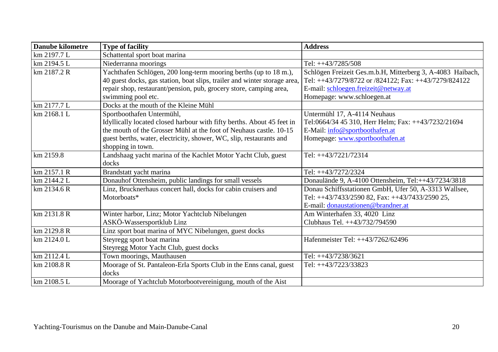| <b>Danube kilometre</b> | <b>Type of facility</b>                                                   | <b>Address</b>                                             |
|-------------------------|---------------------------------------------------------------------------|------------------------------------------------------------|
| km 2197.7 L             | Schattental sport boat marina                                             |                                                            |
| km 2194.5 L             | Niederranna moorings                                                      | Tel: ++43/7285/508                                         |
| km 2187.2 R             | Yachthafen Schlögen, 200 long-term mooring berths (up to 18 m.),          | Schlögen Freizeit Ges.m.b.H, Mitterberg 3, A-4083 Haibach, |
|                         | 40 guest docks, gas station, boat slips, trailer and winter storage area, | Tel: ++43/7279/8722 or /824122; Fax: ++43/7279/824122      |
|                         | repair shop, restaurant/pension, pub, grocery store, camping area,        | E-mail: schloegen.freizeit@netway.at                       |
|                         | swimming pool etc.                                                        | Homepage: www.schloegen.at                                 |
| km 2177.7 L             | Docks at the mouth of the Kleine Mühl                                     |                                                            |
| km 2168.1 L             | Sportboothafen Untermühl,                                                 | Untermühl 17, A-4114 Neuhaus                               |
|                         | Idyllically located closed harbour with fifty berths. About 45 feet in    | Tel:0664/34 45 310, Herr Helm; Fax: ++43/7232/21694        |
|                         | the mouth of the Grosser Mühl at the foot of Neuhaus castle, 10-15        | E-Mail: info@sportboothafen.at                             |
|                         | guest berths, water, electricity, shower, WC, slip, restaurants and       | Homepage: www.sportboothafen.at                            |
|                         | shopping in town.                                                         |                                                            |
| km 2159.8               | Landshaag yacht marina of the Kachlet Motor Yacht Club, guest             | Tel: ++43/7221/72314                                       |
|                         | docks                                                                     |                                                            |
| km 2157.1 R             | Brandstatt yacht marina                                                   | Tel: ++43/7272/2324                                        |
| km 2144.2 L             | Donauhof Ottensheim, public landings for small vessels                    | Donaulände 9, A-4100 Ottensheim, Tel:++43/7234/3818        |
| km 2134.6 R             | Linz, Brucknerhaus concert hall, docks for cabin cruisers and             | Donau Schiffsstationen GmbH, Ufer 50, A-3313 Wallsee,      |
|                         | Motorboats*                                                               | Tel: ++43/7433/2590 82, Fax: ++43/7433/2590 25,            |
|                         |                                                                           | E-mail: donaustationen@brandner.at                         |
| km 2131.8 R             | Winter harbor, Linz; Motor Yachtclub Nibelungen                           | Am Winterhafen 33, 4020 Linz                               |
|                         | ASKÖ-Wassersportklub Linz                                                 | Clubhaus Tel. ++43/732/794590                              |
| km 2129.8 R             | Linz sport boat marina of MYC Nibelungen, guest docks                     |                                                            |
| km 2124.0 L             | Steyregg sport boat marina                                                | Hafenmeister Tel: ++43/7262/62496                          |
|                         | Steyregg Motor Yacht Club, guest docks                                    |                                                            |
| km 2112.4 L             | Town moorings, Mauthausen                                                 | Tel: ++43/7238/3621                                        |
| km 2108.8 R             | Moorage of St. Pantaleon-Erla Sports Club in the Enns canal, guest        | Tel: ++43/7223/33823                                       |
|                         | docks                                                                     |                                                            |
| km 2108.5 L             | Moorage of Yachtclub Motorbootvereinigung, mouth of the Aist              |                                                            |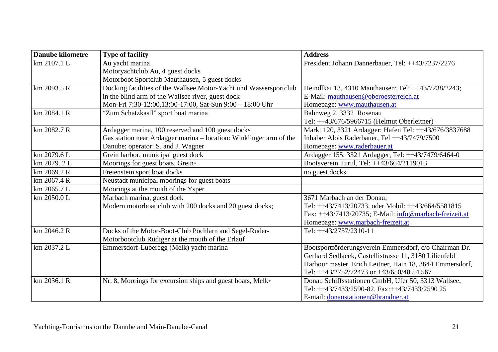| <b>Danube kilometre</b> | <b>Type of facility</b>                                            | <b>Address</b>                                           |
|-------------------------|--------------------------------------------------------------------|----------------------------------------------------------|
| km 2107.1 L             | Au yacht marina                                                    | President Johann Dannerbauer, Tel: ++43/7237/2276        |
|                         | Motoryachtclub Au, 4 guest docks                                   |                                                          |
|                         | Motorboot Sportclub Mauthausen, 5 guest docks                      |                                                          |
| km 2093.5 R             | Docking facilities of the Wallsee Motor-Yacht und Wassersportclub  | Heindlkai 13, 4310 Mauthausen; Tel: ++43/7238/2243;      |
|                         | in the blind arm of the Wallsee river, guest dock                  | E-Mail: mauthausen@oberoesterreich.at                    |
|                         | Mon-Fri 7:30-12:00,13:00-17:00, Sat-Sun 9:00 - 18:00 Uhr           | Homepage: www.mauthausen.at                              |
| km 2084.1 R             | "Zum Schatzkastl" sport boat marina                                | Bahnweg 2, 3332 Rosenau                                  |
|                         |                                                                    | Tel: ++43/676/5966715 (Helmut Oberleitner)               |
| km 2082.7 R             | Ardagger marina, 100 reserved and 100 guest docks                  | Markt 120, 3321 Ardagger; Hafen Tel: ++43/676/3837688    |
|                         | Gas station near Ardagger marina - location: Winklinger arm of the | Inhaber Alois Raderbauer, Tel ++43/7479/7500             |
|                         | Danube; operator: S. and J. Wagner                                 | Homepage: www.raderbauer.at                              |
| km 2079.6 L             | Grein harbor, municipal guest dock                                 | Ardagger 155, 3321 Ardagger, Tel: ++43/7479/6464-0       |
| km 2079.2 L             | Moorings for guest boats, Grein*                                   | Bootsverein Turul, Tel: ++43/664/2119013                 |
| km 2069.2 R             | Freienstein sport boat docks                                       | no guest docks                                           |
| km 2067.4 R             | Neustadt municipal moorings for guest boats                        |                                                          |
| km 2065.7 L             | Moorings at the mouth of the Ysper                                 |                                                          |
| km 2050.0 L             | Marbach marina, guest dock                                         | 3671 Marbach an der Donau;                               |
|                         | Modern motorboat club with 200 docks and 20 guest docks;           | Tel: ++43/7413/20733, oder Mobil: ++43/664/5581815       |
|                         |                                                                    | Fax: ++43/7413/20735; E-Mail: info@marbach-freizeit.at   |
|                         |                                                                    | Homepage: www.marbach-freizeit.at                        |
| km 2046.2 R             | Docks of the Motor-Boot-Club Pöchlarn and Segel-Ruder-             | Tel: ++43/2757/2310-11                                   |
|                         | Motorbootclub Rüdiger at the mouth of the Erlauf                   |                                                          |
| km 2037.2 L             | Emmersdorf-Luberegg (Melk) yacht marina                            | Bootsportförderungsverein Emmersdorf, c/o Chairman Dr.   |
|                         |                                                                    | Gerhard Sedlacek, Castellistrasse 11, 3180 Lilienfeld    |
|                         |                                                                    | Harbour master. Erich Leitner, Hain 18, 3644 Emmersdorf, |
|                         |                                                                    | Tel: ++43/2752/72473 or +43/650/48 54 567                |
| km 2036.1 R             | Nr. 8, Moorings for excursion ships and guest boats, Melk*         | Donau Schiffsstationen GmbH, Ufer 50, 3313 Wallsee,      |
|                         |                                                                    | Tel: ++43/7433/2590-82, Fax:++43/7433/2590 25            |
|                         |                                                                    | E-mail: donaustationen@brandner.at                       |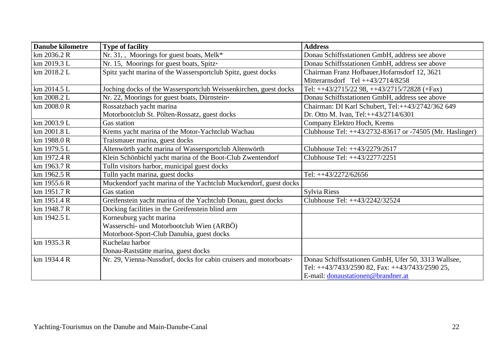| <b>Danube kilometre</b> | <b>Type of facility</b>                                           | <b>Address</b>                                           |
|-------------------------|-------------------------------------------------------------------|----------------------------------------------------------|
| $km$ 2036.2 R           | Nr. 31,, Moorings for guest boats, Melk*                          | Donau Schiffsstationen GmbH, address see above           |
| km 2019.3 L             | Nr. 15, Moorings for guest boats, Spitz*                          | Donau Schiffsstationen GmbH, address see above           |
| km 2018.2 L             | Spitz yacht marina of the Wassersportclub Spitz, guest docks      | Chairman Franz Hofbauer, Hofarnsdorf 12, 3621            |
|                         |                                                                   | Mitterarnsdorf Tel $++43/2714/8258$                      |
| km 2014.5 L             | Joching docks of the Wassersportclub Weissenkirchen, guest docks  | Tel: ++43/2715/22 98, ++43/2715/72828 (+Fax)             |
| km 2008.2 L             | Nr. 22, Moorings for guest boats, Dürnstein*                      | Donau Schiffsstationen GmbH, address see above           |
| km 2008.0 R             | Rossatzbach yacht marina                                          | Chairman: DI Karl Schubert, Tel:++43/2742/362 649        |
|                         | Motorbootclub St. Pölten-Rossatz, guest docks                     | Dr. Otto M. Ivan, Tel:++43/2714/6301                     |
| km 2003.9 L             | Gas station                                                       | Company Elektro Hoch, Krems                              |
| km 2001.8 L             | Krems yacht marina of the Motor-Yachtclub Wachau                  | Clubhouse Tel: ++43/2732-83617 or -74505 (Mr. Haslinger) |
| km 1988.0 R             | Traismauer marina, guest docks                                    |                                                          |
| km 1979.5 L             | Altenwörth yacht marina of Wassersportclub Altenwörth             | Clubhouse Tel: ++43/2279/2617                            |
| km 1972.4 R             | Klein Schönbichl yacht marina of the Boot-Club Zwentendorf        | Clubhouse Tel: ++43/2277/2251                            |
| km 1963.7 R             | Tulln visitors harbor, municipal guest docks                      |                                                          |
| km 1962.5 R             | Tulln yacht marina, guest docks                                   | Tel: ++43/2272/62656                                     |
| km 1955.6 R             | Muckendorf yacht marina of the Yachtclub Muckendorf, guest docks  |                                                          |
| km 1951.7 R             | Gas station                                                       | Sylvia Riess                                             |
| km 1951.4 R             | Greifenstein yacht marina of the Yachtclub Donau, guest docks     | Clubhouse Tel: ++43/2242/32524                           |
| km 1948.7 R             | Docking facilities in the Greifenstein blind arm                  |                                                          |
| km 1942.5 L             | Korneuburg yacht marina                                           |                                                          |
|                         | Wasserschi- und Motorbootclub Wien (ARBÖ)                         |                                                          |
|                         | Motorboot-Sport-Club Danubia, guest docks                         |                                                          |
| km 1935.3 R             | Kuchelau harbor                                                   |                                                          |
|                         | Donau-Raststätte marina, guest docks                              |                                                          |
| km 1934.4 R             | Nr. 29, Vienna-Nussdorf, docks for cabin cruisers and motorboats* | Donau Schiffsstationen GmbH, Ufer 50, 3313 Wallsee,      |
|                         |                                                                   | Tel: ++43/7433/2590 82, Fax: ++43/7433/2590 25,          |
|                         |                                                                   | E-mail: donaustationen@brandner.at                       |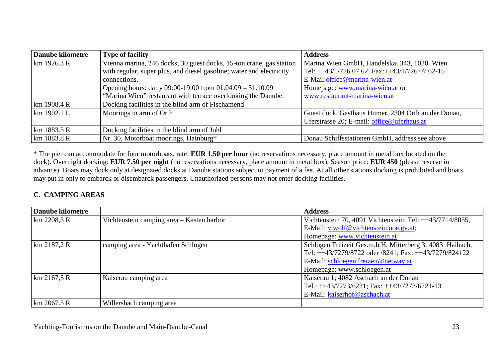| <b>Danube kilometre</b> | <b>Type of facility</b>                                              | <b>Address</b>                                               |
|-------------------------|----------------------------------------------------------------------|--------------------------------------------------------------|
| km 1926.3 R             | Vienna marina, 246 docks, 30 guest docks, 15-ton crane, gas station  | Marina Wien GmbH, Handelskai 343, 1020 Wien                  |
|                         | with regular, super plus, and diesel gasoline; water and electricity | Tel: $\text{+}43/1/7260762$ , Fax: $\text{+}43/1/7260762-15$ |
|                         | connections.                                                         | E-Mail:office@marina-wien.at                                 |
|                         | Opening hours: daily 09:00-19:00 from 01.04.09 - 31.10.09            | Homepage: www.marina-wien.at or                              |
|                         | "Marina Wien" restaurant with terrace overlooking the Danube.        | www.restaurant-marina-wien.at                                |
| km 1908.4 R             | Docking facilities in the blind arm of Fischamend                    |                                                              |
| km 1902.1 L             | Moorings in arm of Orth                                              | Guest dock, Gasthaus Humer, 2304 Orth an der Donau,          |
|                         |                                                                      | Uferstrasse 20; E-mail: office@uferhaus.at                   |
| $km$ 1883.5 R           | Docking facilities in the blind arm of Johl                          |                                                              |
| km 1883.8 R             | Nr. 30, Motorboat moorings, Hainburg*                                | Donau Schiffsstationen GmbH, address see above               |

\* The pier can accommodate for four motorboats, rate: **EUR 1.50 per hour** (no reservations necessary, place amount in metal box located on the dock). Overnight docking: **EUR 7.50 per night** (no reservations necessary, place amount in metal box). Season price: **EUR 450** (please reserve in advance). Boats may dock only at designated docks at Danube stations subject to payment of a fee. At all other stations docking is prohibited and boats may put in only to embarck or disembarck passengers. Unauthorized persons may not enter docking facilities.

#### **C. CAMPING AREAS**

| <b>Danube kilometre</b> |                                           | <b>Address</b>                                           |
|-------------------------|-------------------------------------------|----------------------------------------------------------|
| km 2208,3 R             | Vichtenstein camping area - Kasten harbor | Vichtenstein 70, 4091 Vichtenstein; Tel: ++43/7714/8055, |
|                         |                                           | E-Mail: v.wolf@vichtenstein.ooe.gv.at;                   |
|                         |                                           | Homepage: www.vichtenstein.at                            |
| km 2187,2 R             | camping area - Yachthafen Schlögen        | Schlögen Freizeit Ges.m.b.H, Mitterberg 3, 4083 Haibach, |
|                         |                                           | Tel: ++43/7279/8722 oder /8241; Fax: ++43/7279/824122    |
|                         |                                           | E-Mail: schloegen.freizeit@netway.at                     |
|                         |                                           | Homepage: www.schloegen.at                               |
| km 2167,5 R             | Kaiserau camping area                     | Kaiserau 1; 4082 Aschach an der Donau                    |
|                         |                                           | Tel.: $++43/7273/6221$ ; Fax: $++43/7273/6221-13$        |
|                         |                                           | E-Mail: kaiserhof@aschach.at                             |
| km 2067.5 R             | Willersbach camping area                  |                                                          |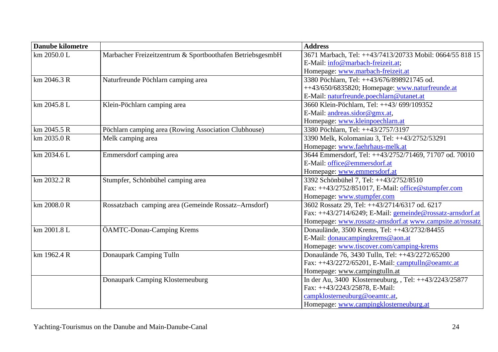| Danube kilometre |                                                           | <b>Address</b>                                            |
|------------------|-----------------------------------------------------------|-----------------------------------------------------------|
| km 2050.0 L      | Marbacher Freizeitzentrum & Sportboothafen BetriebsgesmbH | 3671 Marbach, Tel: ++43/7413/20733 Mobil: 0664/55 818 15  |
|                  |                                                           | E-Mail: info@marbach-freizeit.at;                         |
|                  |                                                           | Homepage: www.marbach-freizeit.at                         |
| km 2046.3 R      | Naturfreunde Pöchlarn camping area                        | 3380 Pöchlarn, Tel: ++43/676/898921745 od.                |
|                  |                                                           | ++43/650/6835820; Homepage: www.naturfreunde.at           |
|                  |                                                           | E-Mail: naturfreunde.poechlarn@utanet.at                  |
| km 2045.8 L      | Klein-Pöchlarn camping area                               | 3660 Klein-Pöchlarn, Tel: ++43/ 699/109352                |
|                  |                                                           | E-Mail: andreas.sidor@gmx.at,                             |
|                  |                                                           | Homepage: www.kleinpoechlarn.at                           |
| km 2045.5 R      | Pöchlarn camping area (Rowing Association Clubhouse)      | 3380 Pöchlarn, Tel: ++43/2757/3197                        |
| km 2035.0 R      | Melk camping area                                         | 3390 Melk, Kolomaniau 3, Tel: ++43/2752/53291             |
|                  |                                                           | Homepage: www.faehrhaus-melk.at                           |
| km 2034.6 L      | Emmersdorf camping area                                   | 3644 Emmersdorf, Tel: ++43/2752/71469, 71707 od. 70010    |
|                  |                                                           | E-Mail: office@emmersdorf.at                              |
|                  |                                                           | Homepage: www.emmersdorf.at                               |
| km 2032.2 R      | Stumpfer, Schönbühel camping area                         | 3392 Schönbühel 7, Tel: ++43/2752/8510                    |
|                  |                                                           | Fax: ++43/2752/851017, E-Mail: office@stumpfer.com        |
|                  |                                                           | Homepage: www.stumpfer.com                                |
| km 2008.0 R      | Rossatzbach camping area (Gemeinde Rossatz-Arnsdorf)      | 3602 Rossatz 29, Tel: ++43/2714/6317 od. 6217             |
|                  |                                                           | Fax: ++43/2714/6249; E-Mail: gemeinde@rossatz-arnsdorf.at |
|                  |                                                           | Homepage: www.rossatz-arnsdorf.at www.campsite.at/rossatz |
| km 2001.8 L      | ÖAMTC-Donau-Camping Krems                                 | Donaulände, 3500 Krems, Tel: ++43/2732/84455              |
|                  |                                                           | E-Mail: donaucampingkrems@aon.at                          |
|                  |                                                           | Homepage: www.tiscover.com/camping-krems                  |
| km 1962.4 R      | Donaupark Camping Tulln                                   | Donaulände 76, 3430 Tulln, Tel: ++43/2272/65200           |
|                  |                                                           | Fax: $++43/2272/65201$ , E-Mail: camptulln@oeamtc.at      |
|                  |                                                           | Homepage: www.campingtulln.at                             |
|                  | Donaupark Camping Klosterneuburg                          | In der Au, 3400 Klosterneuburg, , Tel: ++43/2243/25877    |
|                  |                                                           | Fax: ++43/2243/25878, E-Mail:                             |
|                  |                                                           | campklosterneuburg@oeamtc.at,                             |
|                  |                                                           | Homepage: www.campingklosterneuburg.at                    |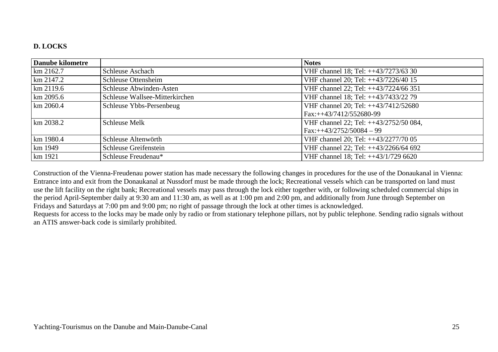#### **D. LOCKS**

| Danube kilometre |                                | <b>Notes</b>                           |
|------------------|--------------------------------|----------------------------------------|
| km 2162.7        | <b>Schleuse Aschach</b>        | VHF channel 18; Tel: ++43/7273/63 30   |
| $\rm km 2147.2$  | Schleuse Ottensheim            | VHF channel 20; Tel: ++43/7226/40 15   |
| $\rm km 2119.6$  | Schleuse Abwinden-Asten        | VHF channel 22; Tel: ++43/7224/66 351  |
| $km$ 2095.6      | Schleuse Wallsee-Mitterkirchen | VHF channel 18; Tel: ++43/7433/22 79   |
| $km$ 2060.4      | Schleuse Ybbs-Persenbeug       | VHF channel 20; Tel: ++43/7412/52680   |
|                  |                                | $Fax:++43/7412/552680-99$              |
| km 2038.2        | <b>Schleuse Melk</b>           | VHF channel 22; Tel: ++43/2752/50 084, |
|                  |                                | $Fax:++43/2752/50084-99$               |
| km 1980.4        | Schleuse Altenwörth            | VHF channel 20; Tel: ++43/2277/70 05   |
| km 1949          | Schleuse Greifenstein          | VHF channel 22; Tel: ++43/2266/64 692  |
| km 1921          | Schleuse Freudenau*            | VHF channel 18; Tel: ++43/1/729 6620   |

Construction of the Vienna-Freudenau power station has made necessary the following changes in procedures for the use of the Donaukanal in Vienna: Entrance into and exit from the Donaukanal at Nussdorf must be made through the lock; Recreational vessels which can be transported on land must use the lift facility on the right bank; Recreational vessels may pass through the lock either together with, or following scheduled commercial ships in the period April-September daily at 9:30 am and 11:30 am, as well as at 1:00 pm and 2:00 pm, and additionally from June through September on Fridays and Saturdays at 7:00 pm and 9:00 pm; no right of passage through the lock at other times is acknowledged.

 Requests for access to the locks may be made only by radio or from stationary telephone pillars, not by public telephone. Sending radio signals without an ATIS answer-back code is similarly prohibited.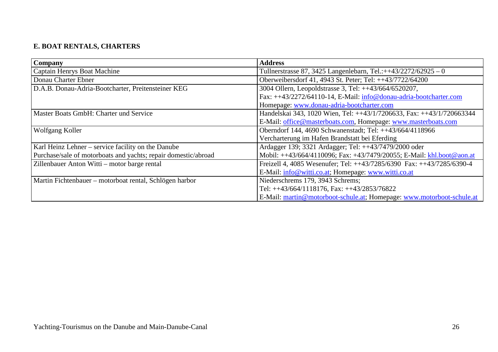# **E. BOAT RENTALS, CHARTERS**

| <b>Company</b>                                                 | <b>Address</b>                                                        |
|----------------------------------------------------------------|-----------------------------------------------------------------------|
| Captain Henrys Boat Machine                                    | Tullnerstrasse 87, 3425 Langenlebarn, Tel.:++43/2272/62925 - 0        |
| Donau Charter Ebner                                            | Oberweibersdorf 41, 4943 St. Peter; Tel: ++43/7722/64200              |
| D.A.B. Donau-Adria-Bootcharter, Preitensteiner KEG             | 3004 Ollern, Leopoldstrasse 3, Tel: ++43/664/6520207,                 |
|                                                                | Fax: ++43/2272/64110-14, E-Mail: info@donau-adria-bootcharter.com     |
|                                                                | Homepage: www.donau-adria-bootcharter.com                             |
| Master Boats GmbH: Charter und Service                         | Handelskai 343, 1020 Wien, Tel: ++43/1/7206633, Fax: ++43/1/720663344 |
|                                                                | E-Mail: office@masterboats.com, Homepage: www.masterboats.com         |
| Wolfgang Koller                                                | Oberndorf 144, 4690 Schwanenstadt; Tel: ++43/664/4118966              |
|                                                                | Vercharterung im Hafen Brandstatt bei Eferding                        |
| Karl Heinz Lehner – service facility on the Danube             | Ardagger 139; 3321 Ardagger; Tel: ++43/7479/2000 oder                 |
| Purchase/sale of motorboats and yachts; repair domestic/abroad | Mobil: ++43/664/4110096; Fax: +43/7479/20055; E-Mail: khl.boot@aon.at |
| Zillenbauer Anton Witti - motor barge rental                   | Freizell 4, 4085 Wesenufer; Tel: ++43/7285/6390 Fax: ++43/7285/6390-4 |
|                                                                | E-Mail: info@witti.co.at; Homepage: www.witti.co.at                   |
| Martin Fichtenbauer – motorboat rental, Schlögen harbor        | Niederschrems 179, 3943 Schrems;                                      |
|                                                                | Tel: $++43/664/1118176$ , Fax: $++43/2853/76822$                      |
|                                                                | E-Mail: martin@motorboot-schule.at; Homepage: www.motorboot-schule.at |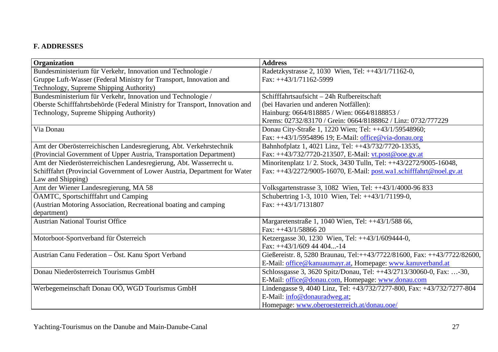#### **F. ADDRESSES**

| Organization                                                                | <b>Address</b>                                                           |
|-----------------------------------------------------------------------------|--------------------------------------------------------------------------|
| Bundesministerium für Verkehr, Innovation und Technologie /                 | Radetzkystrasse 2, 1030 Wien, Tel: ++43/1/71162-0,                       |
| Gruppe Luft-Wasser (Federal Ministry for Transport, Innovation and          | Fax: $++43/1/71162-5999$                                                 |
| Technology, Supreme Shipping Authority)                                     |                                                                          |
| Bundesministerium für Verkehr, Innovation und Technologie /                 | Schifffahrtsaufsicht - 24h Rufbereitschaft                               |
| Oberste Schifffahrtsbehörde (Federal Ministry for Transport, Innovation and | (bei Havarien und anderen Notfällen):                                    |
| Technology, Supreme Shipping Authority)                                     | Hainburg: 0664/818885 / Wien: 0664/8188853 /                             |
|                                                                             | Krems: 02732/83170 / Grein: 0664/8188862 / Linz: 0732/777229             |
| Via Donau                                                                   | Donau City-Straße 1, 1220 Wien; Tel: ++43/1/59548960;                    |
|                                                                             | Fax: ++43/1/5954896 19; E-Mail: office@via-donau.org                     |
| Amt der Oberösterreichischen Landesregierung, Abt. Verkehrstechnik          | Bahnhofplatz 1, 4021 Linz, Tel: ++43/732/7720-13535,                     |
| (Provincial Government of Upper Austria, Transportation Department)         | Fax: ++43/732/7720-213507, E-Mail: vt.post@ooe.gv.at                     |
| Amt der Niederösterreichischen Landesregierung, Abt. Wasserrecht u.         | Minoritenplatz 1/2. Stock, 3430 Tulln, Tel: ++43/2272/9005-16048,        |
| Schifffahrt (Provincial Government of Lower Austria, Department for Water   | Fax: ++43/2272/9005-16070, E-Mail: post.wal.schifffahrt@noel.gv.at       |
| Law and Shipping)                                                           |                                                                          |
| Amt der Wiener Landesregierung, MA 58                                       | Volksgartenstrasse 3, 1082 Wien, Tel: ++43/1/4000-96 833                 |
| ÖAMTC, Sportschifffahrt und Camping                                         | Schubertring 1-3, 1010 Wien, Tel: ++43/1/71199-0,                        |
| (Austrian Motoring Association, Recreational boating and camping            | Fax: $++43/1/7131807$                                                    |
| department)                                                                 |                                                                          |
| <b>Austrian National Tourist Office</b>                                     | Margaretenstraße 1, 1040 Wien, Tel: ++43/1/588 66,                       |
|                                                                             | Fax: $++43/1/5886620$                                                    |
| Motorboot-Sportverband für Österreich                                       | Ketzergasse 30, 1230 Wien, Tel: ++43/1/609444-0,                         |
|                                                                             | Fax: $++43/1/609$ 44 404-14                                              |
| Austrian Canu Federation - Öst. Kanu Sport Verband                          | Gießereistr. 8, 5280 Braunau, Tel:++43/7722/81600, Fax: ++43/7722/82600, |
|                                                                             | E-Mail: office@kanuaumayr.at, Homepage: www.kanuverband.at               |
| Donau Niederösterreich Tourismus GmbH                                       | Schlossgasse 3, 3620 Spitz/Donau, Tel: ++43/2713/30060-0, Fax: -30,      |
|                                                                             | E-Mail: office@donau.com, Homepage: www.donau.com                        |
| Werbegemeinschaft Donau OÖ, WGD Tourismus GmbH                              | Lindengasse 9, 4040 Linz, Tel: +43/732/7277-800, Fax: +43/732/7277-804   |
|                                                                             | E-Mail: info@donauradweg.at;                                             |
|                                                                             | Homepage: www.oberoesterreich.at/donau.ooe/                              |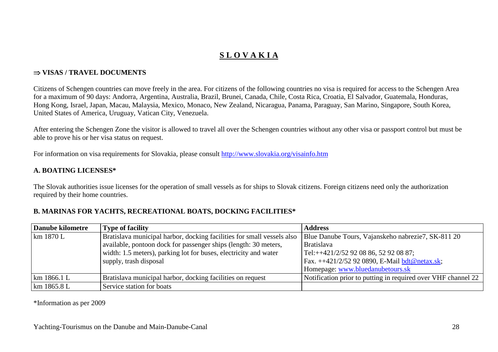# **S L O V A K I A**

#### ⇒ **VISAS / TRAVEL DOCUMENTS**

Citizens of Schengen countries can move freely in the area. For citizens of the following countries no visa is required for access to the Schengen Area for a maximum of 90 days: Andorra, Argentina, Australia, Brazil, Brunei, Canada, Chile, Costa Rica, Croatia, El Salvador, Guatemala, Honduras, Hong Kong, Israel, Japan, Macau, Malaysia, Mexico, Monaco, New Zealand, Nicaragua, Panama, Paraguay, San Marino, Singapore, South Korea, United States of America, Uruguay, Vatican City, Venezuela.

After entering the Schengen Zone the visitor is allowed to travel all over the Schengen countries without any other visa or passport control but must be able to prove his or her visa status on request.

For information on visa requirements for Slovakia, please consult http://www.slovakia.org/visainfo.htm

#### **A. BOATING LICENSES\***

The Slovak authorities issue licenses for the operation of small vessels as for ships to Slovak citizens. Foreign citizens need only the authorization required by their home countries.

#### **B. MARINAS FOR YACHTS, RECREATIONAL BOATS, DOCKING FACILITIES\***

| <b>Danube kilometre</b> | <b>Type of facility</b>                                                | <b>Address</b>                                                |
|-------------------------|------------------------------------------------------------------------|---------------------------------------------------------------|
| km 1870 L               | Bratislava municipal harbor, docking facilities for small vessels also | Blue Danube Tours, Vajanskeho nabrezie7, SK-811 20            |
|                         | available, pontoon dock for passenger ships (length: 30 meters,        | <b>Bratislava</b>                                             |
|                         | width: 1.5 meters), parking lot for buses, electricity and water       | Tel:++421/2/52 92 08 86, 52 92 08 87;                         |
|                         | supply, trash disposal                                                 | Fax. ++421/2/52 92 0890, E-Mail bdt@netax.sk;                 |
|                         |                                                                        | Homepage: www.bluedanubetours.sk                              |
| km 1866.1 L             | Bratislava municipal harbor, docking facilities on request             | Notification prior to putting in required over VHF channel 22 |
| km 1865.8 L             | Service station for boats                                              |                                                               |

\*Information as per 2009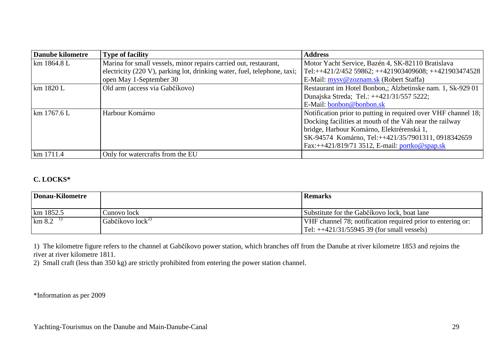| <b>Danube kilometre</b> | <b>Type of facility</b>                                                  | <b>Address</b>                                                 |
|-------------------------|--------------------------------------------------------------------------|----------------------------------------------------------------|
| km 1864.8 L             | Marina for small vessels, minor repairs carried out, restaurant,         | Motor Yacht Service, Bazén 4, SK-82110 Bratislava              |
|                         | electricity (220 V), parking lot, drinking water, fuel, telephone, taxi; | Tel:++421/2/452 59862; ++421903409608; ++421903474528          |
|                         | open May 1-September 30                                                  | E-Mail: mysv@zoznam.sk (Robert Staffa)                         |
| km 1820 L               | Old arm (access via Gabčíkovo)                                           | Restaurant im Hotel Bonbon,; Alzbetinske nam. 1, Sk-929 01     |
|                         |                                                                          | Dunajska Streda; Tel.: ++421/31/557 5222;                      |
|                         |                                                                          | E-Mail: bonbon@bonbon.sk                                       |
| km 1767.6 L             | Harbour Komárno                                                          | Notification prior to putting in required over VHF channel 18; |
|                         |                                                                          | Docking facilities at mouth of the Váh near the railway        |
|                         |                                                                          | bridge, Harbour Komárno, Elektrérenská 1,                      |
|                         |                                                                          | SK-94574 Komárno, Tel:++421/35/7901311, 0918342659             |
|                         |                                                                          | Fax:++421/819/71 3512, E-mail: portko@spap.sk                  |
| km 1711.4               | Only for watercrafts from the EU                                         |                                                                |

#### **C. LOCKS\***

| Donau-Kilometre   |                      | <b>Remarks</b>                                              |
|-------------------|----------------------|-------------------------------------------------------------|
| km 1852.5         | Cunovo lock          | Substitute for the Gabčíkovo lock, boat lane                |
| $\rm km 8.2^{-1}$ | Gabčíkovo $lock^{2}$ | VHF channel 78; notification required prior to entering or: |
|                   |                      | $Tel: ++421/31/5594539$ (for small vessels)                 |

1) The kilometre figure refers to the channel at Gabčíkovo power station, which branches off from the Danube at river kilometre 1853 and rejoins the river at river kilometre 1811.

2) Small craft (less than 350 kg) are strictly prohibited from entering the power station channel.

\*Information as per 2009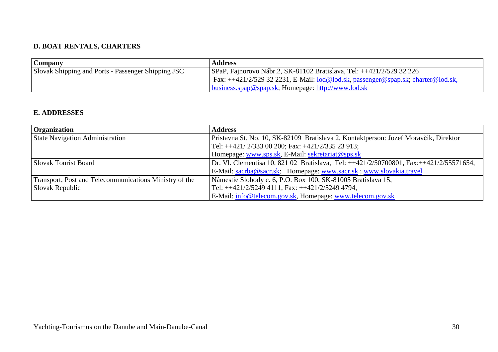## **D. BOAT RENTALS, CHARTERS**

| Company                                            | <b>Address</b>                                                                   |
|----------------------------------------------------|----------------------------------------------------------------------------------|
| Slovak Shipping and Ports - Passenger Shipping JSC | SPaP, Fajnorovo Nábr.2, SK-81102 Bratislava, Tel: ++421/2/529 32 226             |
|                                                    | Fax: ++421/2/529 32 2231, E-Mail: lod@lod.sk, passenger@spap.sk; charter@lod.sk, |
|                                                    | <u>business.spap@spap.sk;</u> Homepage: http://www.lod.sk                        |

#### **E. ADDRESSES**

| <b>Organization</b>                                    | <b>Address</b>                                                                         |
|--------------------------------------------------------|----------------------------------------------------------------------------------------|
| <b>State Navigation Administration</b>                 | Pristavna St. No. 10, SK-82109 Bratislava 2, Kontaktperson: Jozef Moravčik, Direktor   |
|                                                        | Tel: $++421/2/33300200$ ; Fax: $+421/2/33523913$ ;                                     |
|                                                        | Homepage: www.sps.sk, E-Mail: sekretariat@sps.sk                                       |
| <b>Slovak Tourist Board</b>                            | Dr. Vl. Clementisa 10, 821 02 Bratislava, Tel: ++421/2/50700801, Fax:++421/2/55571654, |
|                                                        | E-Mail: sacrba@sacr.sk; Homepage: www.sacr.sk; www.slovakia.travel                     |
| Transport, Post and Telecommunications Ministry of the | Námestie Slobody c. 6, P.O. Box 100, SK-81005 Bratislava 15,                           |
| Slovak Republic                                        | Tel: ++421/2/5249 4111, Fax: ++421/2/5249 4794,                                        |
|                                                        | E-Mail: info@telecom.gov.sk, Homepage: www.telecom.gov.sk                              |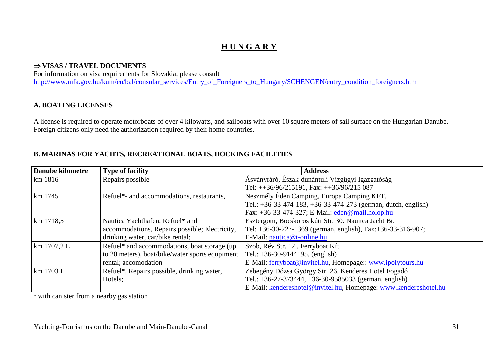# **H U N G A R Y**

#### ⇒ **VISAS / TRAVEL DOCUMENTS**

 For information on visa requirements for Slovakia, please consult http://www.mfa.gov.hu/kum/en/bal/consular\_services/Entry\_of\_Foreigners\_to\_Hungary/SCHENGEN/entry\_condition\_foreigners.htm

#### **A. BOATING LICENSES**

A license is required to operate motorboats of over 4 kilowatts, and sailboats with over 10 square meters of sail surface on the Hungarian Danube. Foreign citizens only need the authorization required by their home countries.

#### **B. MARINAS FOR YACHTS, RECREATIONAL BOATS, DOCKING FACILITIES**

| <b>Danube kilometre</b> | <b>Type of facility</b>                         | <b>Address</b>                                                     |
|-------------------------|-------------------------------------------------|--------------------------------------------------------------------|
| km 1816                 | Repairs possible                                | Ásványráró, Észak-dunántuli Vizgügyi Igazgatóság                   |
|                         |                                                 | Tel: $++36/96/215191$ , Fax: $++36/96/215087$                      |
| km 1745                 | Refuel*- and accommodations, restaurants,       | Neszmély Éden Camping, Europa Camping KFT.                         |
|                         |                                                 | Tel.: $+36-33-474-183$ , $+36-33-474-273$ (german, dutch, english) |
|                         |                                                 | Fax: +36-33-474-327; E-Mail: eden@mail.holop.hu                    |
| km 1718,5               | Nautica Yachthafen, Refuel* and                 | Esztergom, Bocskoros kúti Str. 30. Nauitca Jacht Bt.               |
|                         | accommodations, Repairs possible; Electricity,  | Tel: +36-30-227-1369 (german, english), Fax: +36-33-316-907;       |
|                         | drinking water, car/bike rental;                | E-Mail: nautica@t-online.hu                                        |
| km 1707,2 L             | Refuel* and accommodations, boat storage (up)   | Szob, Rév Str. 12., Ferryboat Kft.                                 |
|                         | to 20 meters), boat/bike/water sports equpiment | Tel.: $+36-30-9144195$ , (english)                                 |
|                         | rental; accomodation                            | E-Mail: ferryboat@invitel.hu, Homepage:: www.ipolytours.hu         |
| km 1703 L               | Refuel*, Repairs possible, drinking water,      | Zebegény Dózsa György Str. 26. Kenderes Hotel Fogadó               |
|                         | Hotels;                                         | Tel.: $+36-27-373444$ , $+36-30-9585033$ (german, english)         |
|                         |                                                 | E-Mail: kendereshotel@invitel.hu, Homepage: www.kendereshotel.hu   |

\* with canister from a nearby gas station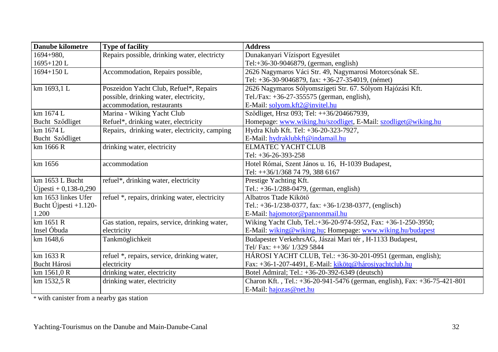| <b>Danube kilometre</b>  | <b>Type of facility</b>                        | <b>Address</b>                                                            |
|--------------------------|------------------------------------------------|---------------------------------------------------------------------------|
| 1694+980,                | Repairs possible, drinking water, electricty   | Dunakanyari Vízisport Egyesület                                           |
| 1695+120L                |                                                | Tel:+36-30-9046879, (german, english)                                     |
| 1694+150L                | Accommodation, Repairs possible,               | 2626 Nagymaros Váci Str. 49, Nagymarosi Motorcsónak SE.                   |
|                          |                                                | Tel: +36-30-9046879, fax: +36-27-354019, (német)                          |
| km 1693,1 L              | Poszeidon Yacht Club, Refuel*, Repairs         | 2626 Nagymaros Sólyomszigeti Str. 67. Sólyom Hajózási Kft.                |
|                          | possible, drinking water, electricity,         | Tel./Fax: $+36-27-355575$ (german, english),                              |
|                          | accommodation, restaurants                     | E-Mail: solyom.kft2@invitel.hu                                            |
| km 1674 L                | Marina - Wiking Yacht Club                     | Sződliget, Hrsz 093; Tel: ++36/204667939,                                 |
| Bucht Sződliget          | Refuel*, drinking water, electricity           | Homepage: www.wiking.hu/szodliget, E-Mail: szodliget@wiking.hu            |
| km 1674 L                | Repairs, drinking water, electricity, camping  | Hydra Klub Kft. Tel: +36-20-323-7927,                                     |
| Bucht Sződliget          |                                                | E-Mail: hydraklubkft@indamail.hu                                          |
| km 1666 R                | drinking water, electricity                    | <b>ELMATEC YACHT CLUB</b>                                                 |
|                          |                                                | Tel: $+36-26-393-258$                                                     |
| km 1656                  | accommodation                                  | Hotel Római, Szent János u. 16, H-1039 Budapest,                          |
|                          |                                                | Tel: ++36/1/368 74 79, 388 6167                                           |
| km 1653 L Bucht          | refuel*, drinking water, electricity           | Prestige Yachting Kft.                                                    |
| $U$ jpesti + 0,138-0,290 |                                                | Tel.: $+36-1/288-0479$ , (german, english)                                |
| km 1653 linkes Ufer      | refuel *, repairs, drinking water, electricity | Albatros Ttade Kikötő                                                     |
| Bucht Újpesti $+1.120-$  |                                                | Tel.: $+36-1/238-0377$ , fax: $+36-1/238-0377$ , (englisch)               |
| 1.200                    |                                                | E-Mail: hajomotor@pannonmail.hu                                           |
| km 1651 R                | Gas station, repairs, service, drinking water, | Wiking Yacht Club, Tel.:+36-20-974-5952, Fax: +36-1-250-3950;             |
| Insel Óbuda              | electricity                                    | E-Mail: wiking@wiking.hu; Homepage: www.wiking.hu/budapest                |
| km 1648,6                | Tankmöglichkeit                                | Budapester VerkehrsAG, Jászai Mari tér, H-1133 Budapest,                  |
|                          |                                                | Tel/Fax: ++36/1/329 5844                                                  |
| km 1633 R                | refuel *, repairs, service, drinking water,    | HÁROSI YACHT CLUB, Tel.: $+36-30-201-0951$ (german, english);             |
| <b>Bucht Hárosi</b>      | electricity                                    | Fax: +36-1-207-4491, E-Mail: kikötq@hárosiyachtclub.hu                    |
| km 1561,0 R              | drinking water, electricity                    | Botel Admiral; Tel.: +36-20-392-6349 (deutsch)                            |
| km 1532,5 R              | drinking water, electricity                    | Charon Kft., Tel.: +36-20-941-5476 (german, english), Fax: +36-75-421-801 |
|                          |                                                | E-Mail: hajozas@net.hu                                                    |

\* with canister from a nearby gas station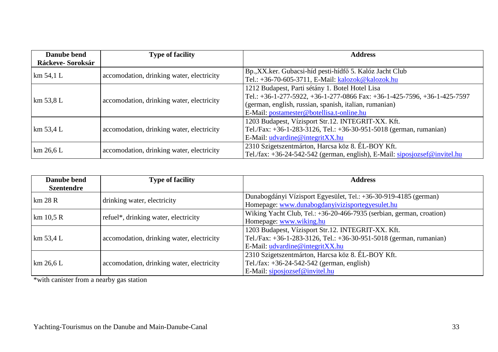| Danube bend      | <b>Type of facility</b>                   | <b>Address</b>                                                             |
|------------------|-------------------------------------------|----------------------------------------------------------------------------|
| Ráckeve-Soroksár |                                           |                                                                            |
| km 54,1 L        | accomodation, drinking water, electricity | Bp., XX.ker. Gubacsi-híd pesti-hídfő 5. Kalóz Jacht Club                   |
|                  |                                           | Tel.: +36-70-605-3711, E-Mail: kalozok@kalozok.hu                          |
|                  | accomodation, drinking water, electricity | 1212 Budapest, Parti sétány 1. Botel Hotel Lisa                            |
| km 53,8 L        |                                           | Tel.: +36-1-277-5922, +36-1-277-0866 Fax: +36-1-425-7596, +36-1-425-7597   |
|                  |                                           | (german, english, russian, spanish, italian, rumanian)                     |
|                  |                                           | E-Mail: postamester@botellisa.t-online.hu                                  |
|                  |                                           | 1203 Budapest, Vízisport Str.12. INTEGRIT-XX. Kft.                         |
| km 53,4 L        | accomodation, drinking water, electricity | Tel./Fax: +36-1-283-3126, Tel.: +36-30-951-5018 (german, rumanian)         |
|                  |                                           | E-Mail: udvardine@integritXX.hu                                            |
| km 26,6 L        | accomodation, drinking water, electricity | 2310 Szigetszentmárton, Harcsa köz 8. ÉL-BOY Kft.                          |
|                  |                                           | Tel./fax: +36-24-542-542 (german, english), E-Mail: siposjozsef@invitel.hu |

| Danube bend          | <b>Type of facility</b>                   | <b>Address</b>                                                       |
|----------------------|-------------------------------------------|----------------------------------------------------------------------|
| <b>Szentendre</b>    |                                           |                                                                      |
|                      | drinking water, electricity               | Dunabogdányi Vízisport Egyesület, Tel.: +36-30-919-4185 (german)     |
| km 28 R              |                                           | Homepage: www.dunabogdanyivizisportegyesulet.hu                      |
| km 10,5 R            | refuel*, drinking water, electricity      | Wiking Yacht Club, Tel.: +36-20-466-7935 (serbian, german, croation) |
|                      |                                           | Homepage: www.wiking.hu                                              |
|                      |                                           | 1203 Budapest, Vízisport Str.12. INTEGRIT-XX. Kft.                   |
| $\mathrm{km}$ 53,4 L | accomodation, drinking water, electricity | Tel./Fax: +36-1-283-3126, Tel.: +36-30-951-5018 (german, rumanian)   |
|                      |                                           | E-Mail: $udvardine@integritXX.hu$                                    |
|                      |                                           | 2310 Szigetszentmárton, Harcsa köz 8. ÉL-BOY Kft.                    |
| km 26.6 L            | accomodation, drinking water, electricity | Tel./fax: $+36-24-542-542$ (german, english)                         |
|                      |                                           | E-Mail: siposjozsef@invitel.hu                                       |

\*with canister from a nearby gas station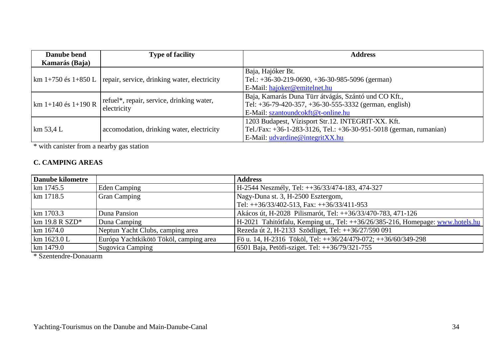| Danube bend               | <b>Type of facility</b><br><b>Address</b>                                |                                                                    |
|---------------------------|--------------------------------------------------------------------------|--------------------------------------------------------------------|
| Kamarás (Baja)            |                                                                          |                                                                    |
|                           | $\rm km 1+750$ és 1+850 L   repair, service, drinking water, electricity | Baja, Hajóker Bt.                                                  |
|                           |                                                                          | Tel.: $+36-30-219-0690$ , $+36-30-985-5096$ (german)               |
|                           |                                                                          | E-Mail: hajoker@emitelnet.hu                                       |
| $\rm km 1+140$ és 1+190 R | refuel*, repair, service, drinking water,<br>electricity                 | Baja, Kamarás Duna Türr átvágás, Szántó und CO Kft.,               |
|                           |                                                                          | Tel: +36-79-420-357, +36-30-555-3332 (german, english)             |
|                           |                                                                          | E-Mail: szantoundcokft@t-online.hu                                 |
| km 53.4 L                 | accomodation, drinking water, electricity                                | 1203 Budapest, Vízisport Str.12. INTEGRIT-XX. Kft.                 |
|                           |                                                                          | Tel./Fax: +36-1-283-3126, Tel.: +36-30-951-5018 (german, rumanian) |
|                           |                                                                          | E-Mail: udvardine@integritXX.hu                                    |

\* with canister from a nearby gas station

#### **C. CAMPING AREAS**

| Danube kilometre                      |                                        | <b>Address</b>                                                                 |
|---------------------------------------|----------------------------------------|--------------------------------------------------------------------------------|
| km 1745.5                             | <b>Eden Camping</b>                    | H-2544 Neszmély, Tel: ++36/33/474-183, 474-327                                 |
| km 1718.5                             | <b>Gran Camping</b>                    | Nagy-Duna st. 3, H-2500 Esztergom,                                             |
|                                       |                                        | Tel: $++36/33/402-513$ , Fax: $++36/33/411-953$                                |
| km 1703.3                             | Duna Pansion                           | Akácos út, H-2028 Pilismarót, Tel: ++36/33/470-783, 471-126                    |
| $\mathrm{km}$ 19.8 R SZD <sup>*</sup> | Duna Camping                           | H-2021 Tahitótfalu, Kemping ut., Tel: ++36/26/385-216, Homepage: www.hotels.hu |
| km 1674.0                             | Neptun Yacht Clubs, camping area       | Rezeda út 2, H-2133 Szödliget, Tel: ++36/27/590 091                            |
| $\rm km 1623.0 L$                     | Európa Yachtkikötö Tököl, camping area | Fö u. 14, H-2316 Tököl, Tel: ++36/24/479-072; ++36/60/349-298                  |
| km 1479.0                             | <b>Sugovica Camping</b>                | 6501 Baja, Petöfi-sziget. Tel: ++36/79/321-755                                 |

\* Szentendre-Donauarm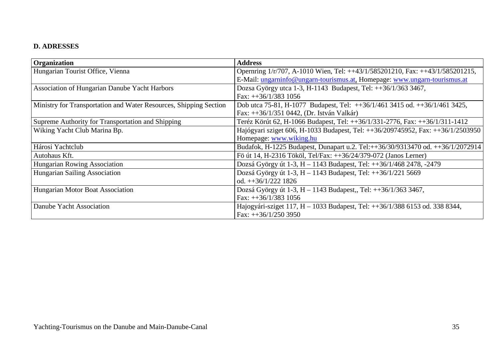## **D. ADRESSES**

| Organization                                                      | <b>Address</b>                                                                  |
|-------------------------------------------------------------------|---------------------------------------------------------------------------------|
| Hungarian Tourist Office, Vienna                                  | Opernring 1/r/707, A-1010 Wien, Tel: ++43/1/585201210, Fax: ++43/1/585201215,   |
|                                                                   | E-Mail: ungarninfo@ungarn-tourismus.at, Homepage: www.ungarn-tourismus.at       |
| Association of Hungarian Danube Yacht Harbors                     | Dozsa György utca 1-3, H-1143 Budapest, Tel: ++36/1/363 3467,                   |
|                                                                   | Fax: $++36/1/383$ 1056                                                          |
| Ministry for Transportation and Water Resources, Shipping Section | Dob utca 75-81, H-1077 Budapest, Tel: $++36/1/461$ 3415 od. $++36/1/461$ 3425,  |
|                                                                   | Fax: ++36/1/351 0442, (Dr. István Valkár)                                       |
| Supreme Authority for Transportation and Shipping                 | Teréz Körút 62, H-1066 Budapest, Tel: ++36/1/331-2776, Fax: ++36/1/311-1412     |
| Wiking Yacht Club Marina Bp.                                      | Hajógyari sziget 606, H-1033 Budapest, Tel: ++36/209745952, Fax: ++36/1/2503950 |
|                                                                   | Homepage: www.wiking.hu                                                         |
| Hárosi Yachtclub                                                  | Budafok, H-1225 Budapest, Dunapart u.2. Tel:++36/30/9313470 od. ++36/1/2072914  |
| Autohaus Kft.                                                     | Fö út 14, H-2316 Tököl, Tel/Fax: ++36/24/379-072 (Janos Lerner)                 |
| Hungarian Rowing Association                                      | Dozsá György út 1-3, H – 1143 Budapest, Tel: ++36/1/468 2478, -2479             |
| Hungarian Sailing Association                                     | Dozsá György út 1-3, H – 1143 Budapest, Tel: ++36/1/221 5669                    |
|                                                                   | od. $++36/1/222$ 1826                                                           |
| Hungarian Motor Boat Association                                  | Dozsá György út 1-3, H – 1143 Budapest,, Tel: ++36/1/363 3467,                  |
|                                                                   | Fax: $++36/1/383$ 1056                                                          |
| Danube Yacht Association                                          | Hajogyári-sziget 117, H – 1033 Budapest, Tel: ++36/1/388 6153 od. 338 8344,     |
|                                                                   | Fax: $++36/1/250$ 3950                                                          |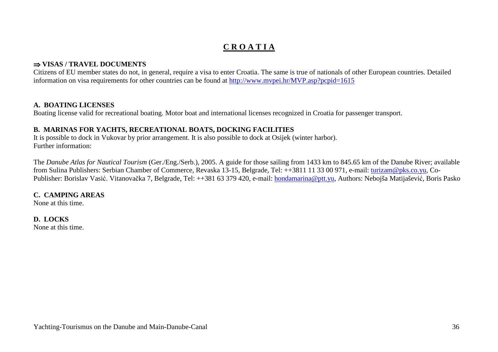# **C R O A T I A**

#### ⇒ **VISAS / TRAVEL DOCUMENTS**

 Citizens of EU member states do not, in general, require a visa to enter Croatia. The same is true of nationals of other European countries. Detailed information on visa requirements for other countries can be found at http://www.mvpei.hr/MVP.asp?pcpid=1615

#### **A. BOATING LICENSES**

Boating license valid for recreational boating. Motor boat and international licenses recognized in Croatia for passenger transport.

#### **B. MARINAS FOR YACHTS, RECREATIONAL BOATS, DOCKING FACILITIES**

 It is possible to dock in Vukovar by prior arrangement. It is also possible to dock at Osijek (winter harbor). Further information:

The *Danube Atlas for Nautical Tourism* (Ger./Eng./Serb.), 2005. A guide for those sailing from 1433 km to 845.65 km of the Danube River; available from Sulina Publishers: Serbian Chamber of Commerce, Revaska 13-15, Belgrade, Tel: ++3811 11 33 00 971, e-mail: turizam@pks.co.yu, Co-Publisher: Borislav Vasić. Vitanovačka 7, Belgrade, Tel: ++381 63 379 420, e-mail: <u>hondamarina@ptt.yu</u>, Authors: Nebojša Matijašević, Boris Pasko

#### **C. CAMPING AREAS**

None at this time.

#### **D. LOCKS**

None at this time.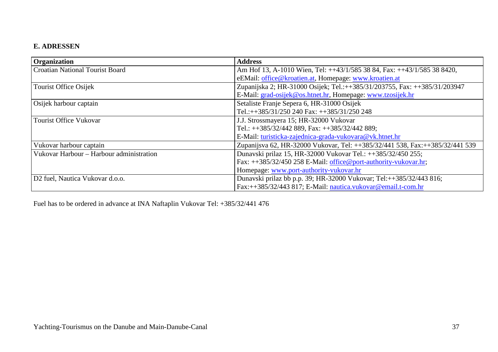#### **E. ADRESSEN**

| <b>Organization</b>                         | <b>Address</b>                                                               |
|---------------------------------------------|------------------------------------------------------------------------------|
| <b>Croatian National Tourist Board</b>      | Am Hof 13, A-1010 Wien, Tel: ++43/1/585 38 84, Fax: ++43/1/585 38 8420,      |
|                                             | eEMail: office@kroatien.at, Homepage: www.kroatien.at                        |
| <b>Tourist Office Osijek</b>                | Zupanijska 2; HR-31000 Osijek; Tel.:++385/31/203755, Fax: ++385/31/203947    |
|                                             | E-Mail: grad-osijek@os.htnet.hr, Homepage: www.tzosijek.hr                   |
| Osijek harbour captain                      | Setaliste Franje Sepera 6, HR-31000 Osijek                                   |
|                                             | Tel.:++385/31/250 240 Fax: ++385/31/250 248                                  |
| <b>Tourist Office Vukovar</b>               | J.J. Strossmayera 15; HR-32000 Vukovar                                       |
|                                             | Tel.: $+385/32/442$ 889, Fax: $+385/32/442$ 889;                             |
|                                             | E-Mail: turisticka-zajednica-grada-vukovara@vk.htnet.hr                      |
| Vukovar harbour captain                     | Zupanijsva 62, HR-32000 Vukovar, Tel: ++385/32/441 538, Fax:++385/32/441 539 |
| Vukovar Harbour - Harbour administration    | Dunavski prilaz 15, HR-32000 Vukovar Tel.: ++385/32/450 255;                 |
|                                             | Fax: ++385/32/450 258 E-Mail: office@port-authority-vukovar.hr;              |
|                                             | Homepage: www.port-authority-vukovar.hr                                      |
| D <sub>2</sub> fuel, Nautica Vukovar d.o.o. | Dunavski prilaz bb p.p. 39; HR-32000 Vukovar; Tel:++385/32/443 816;          |
|                                             | Fax:++385/32/443 817; E-Mail: nautica.vukovar@email.t-com.hr                 |

Fuel has to be ordered in advance at INA Naftaplin Vukovar Tel: +385/32/441 476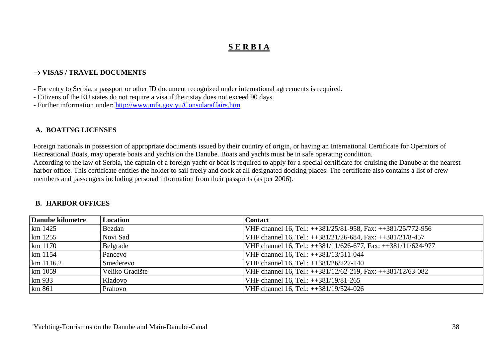# **S E R B I A**

#### ⇒ **VISAS / TRAVEL DOCUMENTS**

- For entry to Serbia, a passport or other ID document recognized under international agreements is required.

- Citizens of the EU states do not require a visa if their stay does not exceed 90 days.

- Further information under: http://www.mfa.gov.yu/Consularaffairs.htm

#### **A. BOATING LICENSES**

Foreign nationals in possession of appropriate documents issued by their country of origin, or having an International Certificate for Operators of Recreational Boats, may operate boats and yachts on the Danube. Boats and yachts must be in safe operating condition. According to the law of Serbia, the captain of a foreign yacht or boat is required to apply for a special certificate for cruising the Danube at the nearest harbor office. This certificate entitles the holder to sail freely and dock at all designated docking places. The certificate also contains a list of crew members and passengers including personal information from their passports (as per 2006).

#### **B. HARBOR OFFICES**

| Danube kilometre | Location        | <b>Contact</b>                                                |
|------------------|-----------------|---------------------------------------------------------------|
| km 1425          | Bezdan          | VHF channel 16, Tel.: ++381/25/81-958, Fax: ++381/25/772-956  |
| km 1255          | Novi Sad        | VHF channel 16, Tel.: ++381/21/26-684, Fax: ++381/21/8-457    |
| km 1170          | Belgrade        | VHF channel 16, Tel.: ++381/11/626-677, Fax: ++381/11/624-977 |
| $km$ 1154        | Pancevo         | VHF channel 16, Tel.: ++381/13/511-044                        |
| km 1116.2        | Smederevo       | VHF channel 16, Tel.: ++381/26/227-140                        |
| km 1059          | Veliko Gradište | VHF channel 16, Tel.: ++381/12/62-219, Fax: ++381/12/63-082   |
| km 933           | Kladovo         | VHF channel 16, Tel.: ++381/19/81-265                         |
| km 861           | Prahovo         | VHF channel 16, Tel.: ++381/19/524-026                        |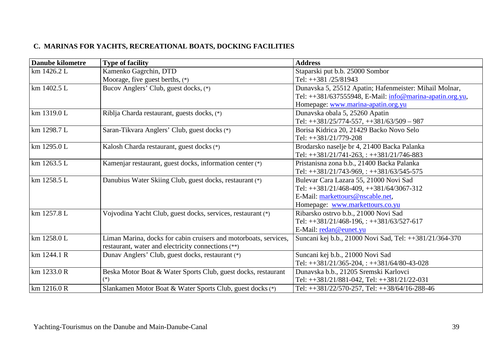#### **C. MARINAS FOR YACHTS, RECREATIONAL BOATS, DOCKING FACILITIES**

| <b>Danube kilometre</b> | <b>Type of facility</b>                                          | <b>Address</b>                                           |
|-------------------------|------------------------------------------------------------------|----------------------------------------------------------|
| km 1426.2 L             | Kamenko Gagrchin, DTD                                            | Staparski put b.b. 25000 Sombor                          |
|                         | Moorage, five guest berths, $(*)$                                | Tel: ++381 /25/81943                                     |
| km 1402.5 L             | Bucov Anglers' Club, guest docks, (*)                            | Dunavska 5, 25512 Apatin; Hafenmeister: Mihail Molnar,   |
|                         |                                                                  | Tel: ++381/637555948, E-Mail: info@marina-apatin.org.yu, |
|                         |                                                                  | Homepage: www.marina-apatin.org.yu                       |
| km 1319.0 L             | Riblja Charda restaurant, guests docks, (*)                      | Dunavska obala 5, 25260 Apatin                           |
|                         |                                                                  | Tel: ++381/25/774-557, ++381/63/509 - 987                |
| km 1298.7 L             | Saran-Tikvara Anglers' Club, guest docks (*)                     | Borisa Kidrica 20, 21429 Backo Novo Selo                 |
|                         |                                                                  | Tel: ++381/21/779-208                                    |
| km 1295.0 L             | Kalosh Charda restaurant, guest docks (*)                        | Brodarsko naselje br 4, 21400 Backa Palanka              |
|                         |                                                                  | Tel: $+381/21/741-263$ , : $+381/21/746-883$             |
| km 1263.5 L             | Kamenjar restaurant, guest docks, information center (*)         | Pristanisna zona b.b., 21400 Backa Palanka               |
|                         |                                                                  | Tel: ++381/21/743-969, : ++381/63/545-575                |
| km 1258.5 L             | Danubius Water Skiing Club, guest docks, restaurant (*)          | Bulevar Cara Lazara 55, 21000 Novi Sad                   |
|                         |                                                                  | Tel: ++381/21/468-409, ++381/64/3067-312                 |
|                         |                                                                  | E-Mail: markettours@nscable.net,                         |
|                         |                                                                  | Homepage: www.markettours.co.yu                          |
| km 1257.8 L             | Vojvodina Yacht Club, guest docks, services, restaurant (*)      | Ribarsko ostrvo b.b., 21000 Novi Sad                     |
|                         |                                                                  | Tel: $+381/21/468-196$ , : $+381/63/527-617$             |
|                         |                                                                  | E-Mail: redan@eunet.yu                                   |
| km 1258.0 L             | Liman Marina, docks for cabin cruisers and motorboats, services, | Suncani kej b.b., 21000 Novi Sad, Tel: ++381/21/364-370  |
|                         | restaurant, water and electricity connections (**)               |                                                          |
| km 1244.1 R             | Dunav Anglers' Club, guest docks, restaurant (*)                 | Suncani kej b.b., 21000 Novi Sad                         |
|                         |                                                                  | Tel: $+381/21/365-204$ , : $+381/64/80-43-028$           |
| km 1233.0 R             | Beska Motor Boat & Water Sports Club, guest docks, restaurant    | Dunavska b.b., 21205 Sremski Karlovci                    |
|                         |                                                                  | Tel: ++381/21/881-042, Tel: ++381/21/22-031              |
| km 1216.0 R             | Slankamen Motor Boat & Water Sports Club, guest docks (*)        | Tel: ++381/22/570-257, Tel: ++38/64/16-288-46            |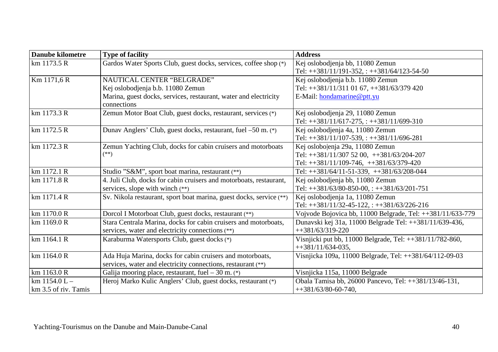| <b>Danube kilometre</b> | <b>Type of facility</b>                                             | <b>Address</b>                                             |
|-------------------------|---------------------------------------------------------------------|------------------------------------------------------------|
| km 1173.5 R             | Gardos Water Sports Club, guest docks, services, coffee shop (*)    | Kej oslobodjenja bb, 11080 Zemun                           |
|                         |                                                                     | Tel: $+381/11/191-352$ , : $+381/64/123-54-50$             |
| Km 1171,6 R             | NAUTICAL CENTER "BELGRADE"                                          | Kej oslobodjenja b.b. 11080 Zemun                          |
|                         | Kej oslobodjenja b.b. 11080 Zemun                                   | Tel: ++381/11/311 01 67, ++381/63/379 420                  |
|                         | Marina, guest docks, services, restaurant, water and electricity    | E-Mail: hondamarine@ptt.yu                                 |
|                         | connections                                                         |                                                            |
| km 1173.3 R             | Zemun Motor Boat Club, guest docks, restaurant, services (*)        | Kej oslobodjenja 29, 11080 Zemun                           |
|                         |                                                                     | Tel: $+381/11/617-275$ , : $+381/11/699-310$               |
| km 1172.5 R             | Dunav Anglers' Club, guest docks, restaurant, fuel -50 m. (*)       | Kej oslobodjenja 4a, 11080 Zemun                           |
|                         |                                                                     | Tel: ++381/11/107-539, : ++381/11/696-281                  |
| km 1172.3 R             | Zemun Yachting Club, docks for cabin cruisers and motorboats        | Kej oslobo enja 29a, 11080 Zemun                           |
|                         | $(**)$                                                              | Tel: $+381/11/307$ 52 00, $+381/63/204-207$                |
|                         |                                                                     | Tel: $+381/11/109-746$ , $+381/63/379-420$                 |
| km 1172.1 R             | Studio "S&M", sport boat marina, restaurant (**)                    | Tel: $+381/64/11-51-339$ , $+381/63/208-044$               |
| km 1171.8 R             | 4. Juli Club, docks for cabin cruisers and motorboats, restaurant,  | Kej oslobodjenja bb, 11080 Zemun                           |
|                         | services, slope with winch (**)                                     | Tel: ++381/63/80-850-00, : ++381/63/201-751                |
| km 1171.4 R             | Sv. Nikola restaurant, sport boat marina, guest docks, service (**) | Kej oslobodjenja 1a, 11080 Zemun                           |
|                         |                                                                     | Tel: $+381/11/32-45-122$ , : $+381/63/226-216$             |
| km 1170.0 R             | Dorcol I Motorboat Club, guest docks, restaurant (**)               | Vojvode Bojovica bb, 11000 Belgrade, Tel: ++381/11/633-779 |
| km 1169.0 R             | Stara Centrala Marina, docks for cabin cruisers and motorboats,     | Dunavski kej 31a, 11000 Belgrade Tel: ++381/11/639-436,    |
|                         | services, water and electricity connections (**)                    | $+1381/63/319-220$                                         |
| km 1164.1 R             | Karaburma Watersports Club, guest docks (*)                         | Visnjicki put bb, 11000 Belgrade, Tel: ++381/11/782-860,   |
|                         |                                                                     | $+381/11/634-035$ ,                                        |
| km 1164.0 R             | Ada Huja Marina, docks for cabin cruisers and motorboats,           | Visnjicka 109a, 11000 Belgrade, Tel: ++381/64/112-09-03    |
|                         | services, water and electricity connections, restaurant (**)        |                                                            |
| km 1163.0 R             | Galija mooring place, restaurant, fuel $-30$ m. $(*)$               | Visnjicka 115a, 11000 Belgrade                             |
| km $1154.0 L -$         | Heroj Marko Kulic Anglers' Club, guest docks, restaurant (*)        | Obala Tamisa bb, 26000 Pancevo, Tel: ++381/13/46-131,      |
| km 3.5 of riv. Tamis    |                                                                     | $+381/63/80-60-740$ ,                                      |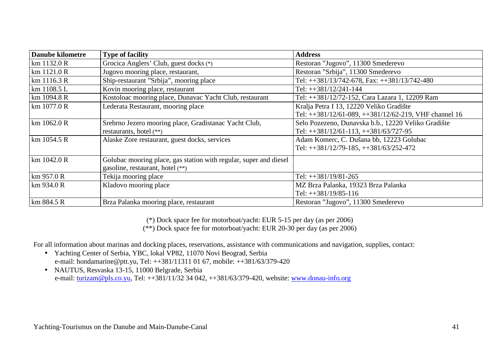| <b>Danube kilometre</b> | <b>Type of facility</b>                                           | <b>Address</b>                                         |
|-------------------------|-------------------------------------------------------------------|--------------------------------------------------------|
| km 1132.0 R             | Grocica Anglers' Club, guest docks (*)                            | Restoran "Jugovo", 11300 Smederevo                     |
| km 1121.0 R             | Jugovo mooring place, restaurant,                                 | Restoran "Srbija", 11300 Smederevo                     |
| km 1116.3 R             | Ship-restaurant "Srbija", mooring place                           | Tel: ++381/13/742-678, Fax: ++381/13/742-480           |
| km 1108.5 L             | Kovin mooring place, restaurant                                   | Tel: $+381/12/241-144$                                 |
| km 1094.8 R             | Kostoloac mooring place, Dunavac Yacht Club, restaurant           | Tel: ++381/12/72-152, Cara Lazara 1, 12209 Ram         |
| km 1077.0 R             | Lederata Restaurant, mooring place                                | Kralja Petra I 13, 12220 Veliko Gradište               |
|                         |                                                                   | Tel: ++381/12/61-089, ++381/12/62-219, VHF channel 16  |
| km 1062.0 R             | Srebrno Jezero mooring place, Gradistanac Yacht Club,             | Selo Pozezeno, Dunavska b.b., 12220 Veliko Gradište    |
|                         | restaurants, hotel (**)                                           | Tel: $\text{+}381/12/61-113$ , $\text{+}381/63/727-95$ |
| km 1054.5 R             | Alaske Zore restaurant, guest docks, services                     | Adam Komerc, C. Dušana bb, 12223 Golubac               |
|                         |                                                                   | Tel: $+381/12/79-185$ , $+381/63/252-472$              |
| km 1042.0 R             | Golubac mooring place, gas station with regular, super and diesel |                                                        |
|                         | gasoline, restaurant, hotel (**)                                  |                                                        |
| km 957.0 R              | Tekija mooring place                                              | Tel: ++381/19/81-265                                   |
| km 934.0 R              | Kladovo mooring place                                             | MZ Brza Palanka, 19323 Brza Palanka                    |
|                         |                                                                   | Tel: $++381/19/85-116$                                 |
| km 884.5 R              | Brza Palanka mooring place, restaurant                            | Restoran "Jugovo", 11300 Smederevo                     |

(\*) Dock space fee for motorboat/yacht: EUR 5-15 per day (as per 2006)

(\*\*) Dock space fee for motorboat/yacht: EUR 20-30 per day (as per 2006)

For all information about marinas and docking places, reservations, assistance with communications and navigation, supplies, contact:

- Yachting Center of Serbia, YBC, lokal VP82, 11070 Novi Beograd, Serbia e-mail: hondamarine@ptt.yu, Tel: ++381/11311 01 67, mobile: ++381/63/379-420
- NAUTUS, Resvaska 13-15, 11000 Belgrade, Serbia e-mail: turizam@pls.co.yu, Tel: ++381/11/32 34 042, ++381/63/379-420, website: www.donau-info.org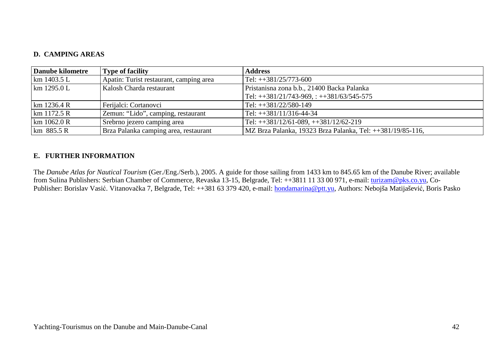#### **D. CAMPING AREAS**

| Danube kilometre       | <b>Type of facility</b>                 | <b>Address</b>                                             |
|------------------------|-----------------------------------------|------------------------------------------------------------|
| $\rm km 1403.5 L$      | Apatin: Turist restaurant, camping area | $Tel: ++381/25/773-600$                                    |
| $\mathrm{km}$ 1295.0 L | Kalosh Charda restaurant                | Pristanisna zona b.b., 21400 Backa Palanka                 |
|                        |                                         | $Tel: +381/21/743-969$ , : $+381/63/545-575$               |
| km 1236.4 R            | Ferijalci: Cortanovci                   | Tel: $+381/22/580-149$                                     |
| $\rm km 1172.5 R$      | Zemun: "Lido", camping, restaurant      | Tel: $+381/11/316-44-34$                                   |
| km 1062.0 R            | Srebrno jezero camping area             | $Tel: +381/12/61-089, +381/12/62-219$                      |
| $km$ 885.5 R           | Brza Palanka camping area, restaurant   | MZ Brza Palanka, 19323 Brza Palanka, Tel: ++381/19/85-116, |

#### **E. FURTHER INFORMATION**

The *Danube Atlas for Nautical Tourism* (Ger./Eng./Serb.), 2005. A guide for those sailing from 1433 km to 845.65 km of the Danube River; available from Sulina Publishers: Serbian Chamber of Commerce, Revaska 13-15, Belgrade, Tel: ++3811 11 33 00 971, e-mail: turizam@pks.co.yu, Co-Publisher: Borislav Vasić. Vitanovačka 7, Belgrade, Tel: ++381 63 379 420, e-mail: <u>hondamarina@ptt.yu</u>, Authors: Nebojša Matijašević, Boris Pasko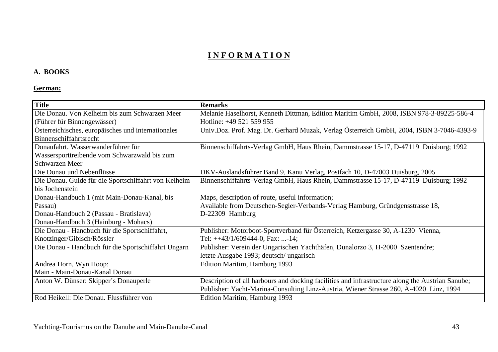# **I N F O R M A T I O N**

#### **A. BOOKS**

## **German:**

| <b>Title</b>                                         | <b>Remarks</b>                                                                                   |
|------------------------------------------------------|--------------------------------------------------------------------------------------------------|
| Die Donau. Von Kelheim bis zum Schwarzen Meer        | Melanie Haselhorst, Kenneth Dittman, Edition Maritim GmbH, 2008, ISBN 978-3-89225-586-4          |
| (Führer für Binnengewässer)                          | Hotline: +49 521 559 955                                                                         |
| Österreichisches, europäisches und internationales   | Univ.Doz. Prof. Mag. Dr. Gerhard Muzak, Verlag Österreich GmbH, 2004, ISBN 3-7046-4393-9         |
| Binnenschiffahrtsrecht                               |                                                                                                  |
| Donaufahrt. Wasserwanderführer für                   | Binnenschiffahrts-Verlag GmbH, Haus Rhein, Dammstrasse 15-17, D-47119 Duisburg; 1992             |
| Wassersporttreibende vom Schwarzwald bis zum         |                                                                                                  |
| Schwarzen Meer                                       |                                                                                                  |
| Die Donau und Nebenflüsse                            | DKV-Auslandsführer Band 9, Kanu Verlag, Postfach 10, D-47003 Duisburg, 2005                      |
| Die Donau. Guide für die Sportschiffahrt von Kelheim | Binnenschiffahrts-Verlag GmbH, Haus Rhein, Dammstrasse 15-17, D-47119 Duisburg; 1992             |
| bis Jochenstein                                      |                                                                                                  |
| Donau-Handbuch 1 (mit Main-Donau-Kanal, bis          | Maps, description of route, useful information;                                                  |
| Passau)                                              | Available from Deutschen-Segler-Verbands-Verlag Hamburg, Gründgensstrasse 18,                    |
| Donau-Handbuch 2 (Passau - Bratislava)               | D-22309 Hamburg                                                                                  |
| Donau-Handbuch 3 (Hainburg - Mohacs)                 |                                                                                                  |
| Die Donau - Handbuch für die Sportschiffahrt,        | Publisher: Motorboot-Sportverband für Österreich, Ketzergasse 30, A-1230 Vienna,                 |
| Knotzinger/Gibisch/Rössler                           | Tel: $++43/1/609444-0$ , Fax: -14;                                                               |
| Die Donau - Handbuch für die Sportschiffahrt Ungarn  | Publisher: Verein der Ungarischen Yachthäfen, Dunalorzo 3, H-2000 Szentendre;                    |
|                                                      | letzte Ausgabe 1993; deutsch/ ungarisch                                                          |
| Andrea Horn, Wyn Hoop:                               | Edition Maritim, Hamburg 1993                                                                    |
| Main - Main-Donau-Kanal Donau                        |                                                                                                  |
| Anton W. Dünser: Skipper's Donauperle                | Description of all harbours and docking facilities and infrastructure along the Austrian Sanube; |
|                                                      | Publisher: Yacht-Marina-Consulting Linz-Austria, Wiener Strasse 260, A-4020 Linz, 1994           |
| Rod Heikell: Die Donau. Flussführer von              | Edition Maritim, Hamburg 1993                                                                    |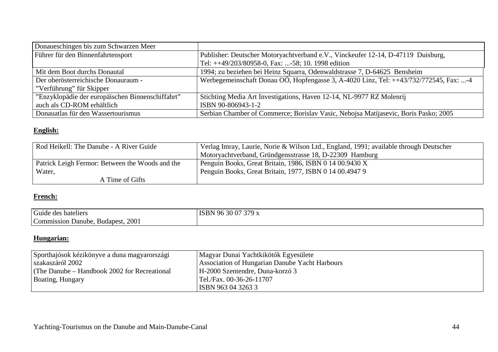| Donaueschingen bis zum Schwarzen Meer            |                                                                                       |
|--------------------------------------------------|---------------------------------------------------------------------------------------|
| Führer für den Binnenfahrtensport                | Publisher: Deutscher Motoryachtverband e.V., Vinckeufer 12-14, D-47119 Duisburg,      |
|                                                  | Tel: ++49/203/80958-0, Fax: -58; 10. 1998 edition                                     |
| Mit dem Boot durchs Donautal                     | 1994; zu beziehen bei Heinz Squarra, Odenwaldstrasse 7, D-64625 Bensheim              |
| Der oberösterreichische Donauraum -              | Werbegemeinschaft Donau OÖ, Hopfengasse 3, A-4020 Linz, Tel: ++43/732/772545, Fax: -4 |
| "Verführung" für Skipper                         |                                                                                       |
| "Enzyklopädie der europäischen Binnenschiffahrt" | Stichting Media Art Investigations, Haven 12-14, NL-9977 RZ Molenrij                  |
| auch als CD-ROM erhältlich                       | ISBN 90-806943-1-2                                                                    |
| Donauatlas für den Wassertourismus               | Serbian Chamber of Commerce; Borislav Vasic, Nebojsa Matijasevic, Boris Pasko; 2005   |

# **English:**

| Rod Heikell: The Danube - A River Guide         | Verlag Imray, Laurie, Norie & Wilson Ltd., England, 1991; available through Deutscher |
|-------------------------------------------------|---------------------------------------------------------------------------------------|
|                                                 | Motoryachtverband, Gründgensstrasse 18, D-22309 Hamburg                               |
| Patrick Leigh Fermor: Between the Woods and the | Penguin Books, Great Britain, 1986, ISBN 0 14 00.9430 X                               |
| Water,                                          | Penguin Books, Great Britain, 1977, ISBN 0 14 00.4947 9                               |
| A Time of Gifts                                 |                                                                                       |

#### **French:**

| $\sim$<br>Guide<br>bateliers<br>des »   | $\sim$ $\sim$ $\sim$ $\sim$<br>$\Omega$<br>06<br><b>ISBN</b><br>70.<br>3U<br>$\sim$ $\sim$<br>$\cdot$ $\cdot$<br>. |
|-----------------------------------------|--------------------------------------------------------------------------------------------------------------------|
| Budapest, 2001<br>Danube.<br>:ommission |                                                                                                                    |

# **Hungarian:**

| Sporthajósok kézikönyve a duna magyarországi    | Magyar Dunai Yachtkikötók Egyesülete           |
|-------------------------------------------------|------------------------------------------------|
| szakaszáról 2002                                | Association of Hungarian Danube Yacht Harbours |
| $(The Danube - Handbook 2002 for Recreational)$ | H-2000 Szentendre, Duna-korzó 3                |
| Boating, Hungary                                | Tel./Fax. 00-36-26-11707                       |
|                                                 | <b>ISBN 9630432633</b>                         |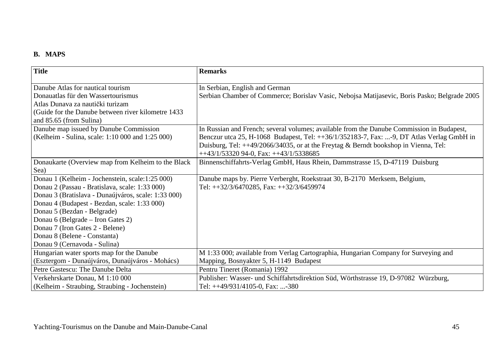#### **B. MAPS**

| <b>Title</b>                                        | <b>Remarks</b>                                                                               |
|-----------------------------------------------------|----------------------------------------------------------------------------------------------|
| Danube Atlas for nautical tourism                   | In Serbian, English and German                                                               |
| Donauatlas für den Wassertourismus                  | Serbian Chamber of Commerce; Borislav Vasic, Nebojsa Matijasevic, Boris Pasko; Belgrade 2005 |
| Atlas Dunava za nautički turizam                    |                                                                                              |
| (Guide for the Danube between river kilometre 1433) |                                                                                              |
| and 85.65 (from Sulina)                             |                                                                                              |
| Danube map issued by Danube Commission              | In Russian and French; several volumes; available from the Danube Commission in Budapest,    |
| (Kelheim - Sulina, scale: 1:10 000 and 1:25 000)    | Benczur utca 25, H-1068 Budapest, Tel: ++36/1/352183-7, Fax: -9, DT Atlas Verlag GmbH in     |
|                                                     | Duisburg, Tel: $++49/2066/34035$ , or at the Freytag & Berndt bookshop in Vienna, Tel:       |
|                                                     | $++43/1/53320$ 94-0, Fax: $++43/1/5338685$                                                   |
| Donaukarte (Overview map from Kelheim to the Black  | Binnenschiffahrts-Verlag GmbH, Haus Rhein, Dammstrasse 15, D-47119 Duisburg                  |
| Sea)                                                |                                                                                              |
| Donau 1 (Kelheim - Jochenstein, scale:1:25 000)     | Danube maps by. Pierre Verberght, Roekstraat 30, B-2170 Merksem, Belgium,                    |
| Donau 2 (Passau - Bratislava, scale: 1:33 000)      | Tel: ++32/3/6470285, Fax: ++32/3/6459974                                                     |
| Donau 3 (Bratislava - Dunaújváros, scale: 1:33 000) |                                                                                              |
| Donau 4 (Budapest - Bezdan, scale: 1:33 000)        |                                                                                              |
| Donau 5 (Bezdan - Belgrade)                         |                                                                                              |
| Donau 6 (Belgrade – Iron Gates 2)                   |                                                                                              |
| Donau 7 (Iron Gates 2 - Belene)                     |                                                                                              |
| Donau 8 (Belene - Constanta)                        |                                                                                              |
| Donau 9 (Cernavoda - Sulina)                        |                                                                                              |
| Hungarian water sports map for the Danube           | M 1:33 000; available from Verlag Cartographia, Hungarian Company for Surveying and          |
| (Esztergom - Dunaújváros, Dunaújváros - Mohács)     | Mapping, Bosnyakter 5, H-1149 Budapest                                                       |
| Petre Gastescu: The Danube Delta                    | Pentru Tineret (Romania) 1992                                                                |
| Verkehrskarte Donau, M 1:10 000                     | Publisher: Wasser- und Schiffahrtsdirektion Süd, Wörthstrasse 19, D-97082 Würzburg,          |
| (Kelheim - Straubing, Straubing - Jochenstein)      | Tel: ++49/931/4105-0, Fax: -380                                                              |